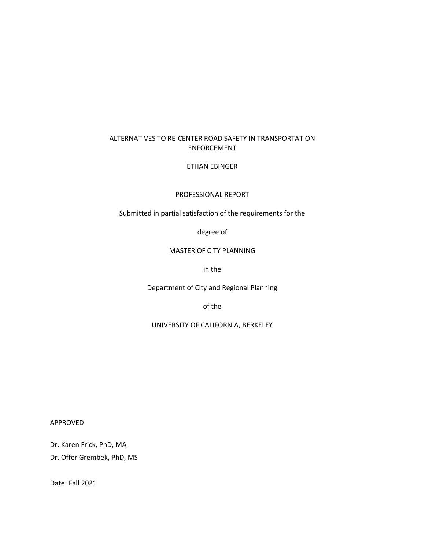#### ALTERNATIVES TO RE-CENTER ROAD SAFETY IN TRANSPORTATION ENFORCEMENT

#### ETHAN EBINGER

#### PROFESSIONAL REPORT

Submitted in partial satisfaction of the requirements for the

degree of

#### MASTER OF CITY PLANNING

in the

Department of City and Regional Planning

of the

UNIVERSITY OF CALIFORNIA, BERKELEY

APPROVED

Dr. Karen Frick, PhD, MA Dr. Offer Grembek, PhD, MS

Date: Fall 2021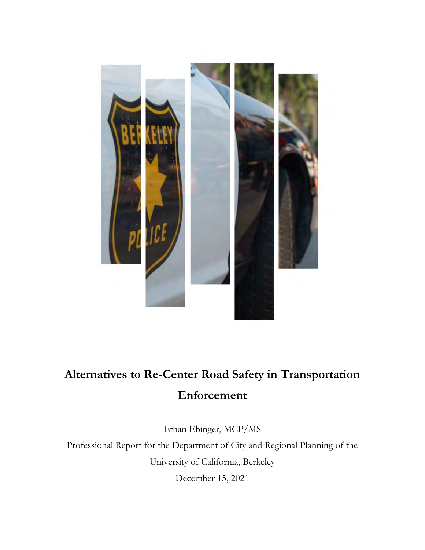

# **Alternatives to Re-Center Road Safety in Transportation Enforcement**

Ethan Ebinger, MCP/MS

Professional Report for the Department of City and Regional Planning of the University of California, Berkeley

December 15, 2021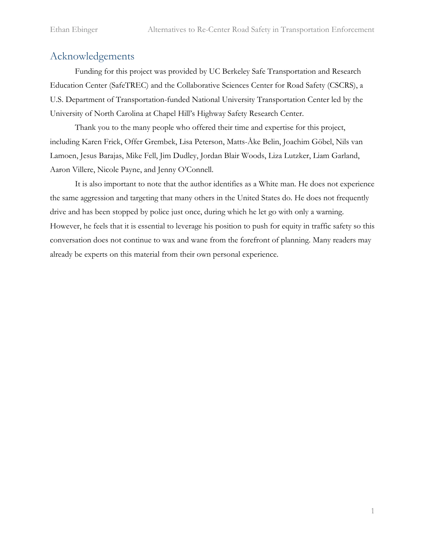# <span id="page-2-0"></span>Acknowledgements

Funding for this project was provided by UC Berkeley Safe Transportation and Research Education Center (SafeTREC) and the Collaborative Sciences Center for Road Safety (CSCRS), a U.S. Department of Transportation-funded National University Transportation Center led by the University of North Carolina at Chapel Hill's Highway Safety Research Center.

Thank you to the many people who offered their time and expertise for this project, including Karen Frick, Offer Grembek, Lisa Peterson, Matts-Åke Belin, Joachim Göbel, Nils van Lamoen, Jesus Barajas, Mike Fell, Jim Dudley, Jordan Blair Woods, Liza Lutzker, Liam Garland, Aaron Villere, Nicole Payne, and Jenny O'Connell.

It is also important to note that the author identifies as a White man. He does not experience the same aggression and targeting that many others in the United States do. He does not frequently drive and has been stopped by police just once, during which he let go with only a warning. However, he feels that it is essential to leverage his position to push for equity in traffic safety so this conversation does not continue to wax and wane from the forefront of planning. Many readers may already be experts on this material from their own personal experience.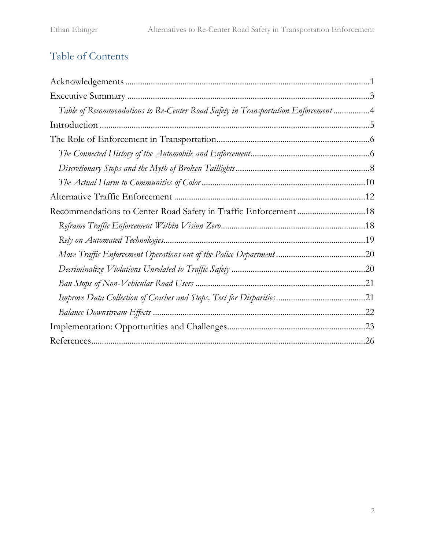# Table of Contents

| Table of Recommendations to Re-Center Road Safety in Transportation Enforcement 4 |  |
|-----------------------------------------------------------------------------------|--|
|                                                                                   |  |
|                                                                                   |  |
|                                                                                   |  |
|                                                                                   |  |
|                                                                                   |  |
|                                                                                   |  |
| Recommendations to Center Road Safety in Traffic Enforcement18                    |  |
|                                                                                   |  |
|                                                                                   |  |
|                                                                                   |  |
|                                                                                   |  |
|                                                                                   |  |
|                                                                                   |  |
|                                                                                   |  |
|                                                                                   |  |
|                                                                                   |  |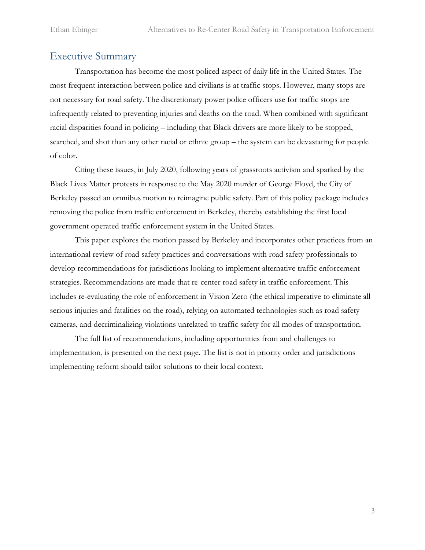## <span id="page-4-0"></span>Executive Summary

Transportation has become the most policed aspect of daily life in the United States. The most frequent interaction between police and civilians is at traffic stops. However, many stops are not necessary for road safety. The discretionary power police officers use for traffic stops are infrequently related to preventing injuries and deaths on the road. When combined with significant racial disparities found in policing – including that Black drivers are more likely to be stopped, searched, and shot than any other racial or ethnic group – the system can be devastating for people of color.

Citing these issues, in July 2020, following years of grassroots activism and sparked by the Black Lives Matter protests in response to the May 2020 murder of George Floyd, the City of Berkeley passed an omnibus motion to reimagine public safety. Part of this policy package includes removing the police from traffic enforcement in Berkeley, thereby establishing the first local government operated traffic enforcement system in the United States.

This paper explores the motion passed by Berkeley and incorporates other practices from an international review of road safety practices and conversations with road safety professionals to develop recommendations for jurisdictions looking to implement alternative traffic enforcement strategies. Recommendations are made that re-center road safety in traffic enforcement. This includes re-evaluating the role of enforcement in Vision Zero (the ethical imperative to eliminate all serious injuries and fatalities on the road), relying on automated technologies such as road safety cameras, and decriminalizing violations unrelated to traffic safety for all modes of transportation.

The full list of recommendations, including opportunities from and challenges to implementation, is presented on the next page. The list is not in priority order and jurisdictions implementing reform should tailor solutions to their local context.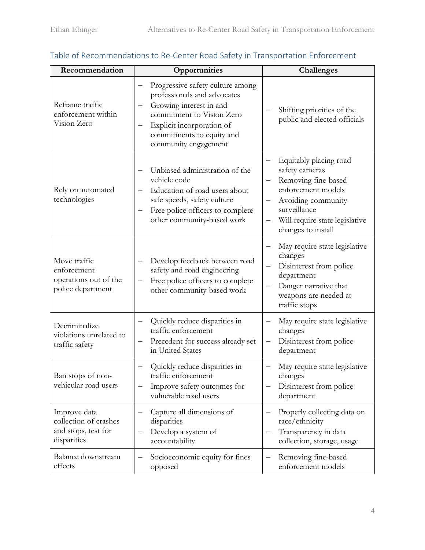| Recommendation                                                              | Opportunities                                                                                                                                                                                             | <b>Challenges</b>                                                                                                                                                                                                                         |
|-----------------------------------------------------------------------------|-----------------------------------------------------------------------------------------------------------------------------------------------------------------------------------------------------------|-------------------------------------------------------------------------------------------------------------------------------------------------------------------------------------------------------------------------------------------|
| Reframe traffic<br>enforcement within<br>Vision Zero                        | Progressive safety culture among<br>professionals and advocates<br>Growing interest in and<br>commitment to Vision Zero<br>Explicit incorporation of<br>commitments to equity and<br>community engagement | Shifting priorities of the<br>public and elected officials                                                                                                                                                                                |
| Rely on automated<br>technologies                                           | Unbiased administration of the<br>vehicle code<br>Education of road users about<br>safe speeds, safety culture<br>Free police officers to complete<br>other community-based work                          | Equitably placing road<br>—<br>safety cameras<br>Removing fine-based<br>$\qquad \qquad -$<br>enforcement models<br>Avoiding community<br>$\overline{\phantom{0}}$<br>surveillance<br>Will require state legislative<br>changes to install |
| Move traffic<br>enforcement<br>operations out of the<br>police department   | Develop feedback between road<br>safety and road engineering<br>Free police officers to complete<br>other community-based work                                                                            | May require state legislative<br>—<br>changes<br>Disinterest from police<br>$\overline{\phantom{0}}$<br>department<br>Danger narrative that<br>weapons are needed at<br>traffic stops                                                     |
| Decriminalize<br>violations unrelated to<br>traffic safety                  | Quickly reduce disparities in<br>traffic enforcement<br>Precedent for success already set<br>in United States                                                                                             | May require state legislative<br>—<br>changes<br>Disinterest from police<br>$\overline{\phantom{0}}$<br>department                                                                                                                        |
| Ban stops of non-<br>vehicular road users                                   | Quickly reduce disparities in<br>traffic enforcement<br>Improve safety outcomes for<br>vulnerable road users                                                                                              | May require state legislative<br>changes<br>Disinterest from police<br>department                                                                                                                                                         |
| Improve data<br>collection of crashes<br>and stops, test for<br>disparities | Capture all dimensions of<br>disparities<br>Develop a system of<br>accountability                                                                                                                         | Properly collecting data on<br>—<br>race/ethnicity<br>Transparency in data<br>—<br>collection, storage, usage                                                                                                                             |
| Balance downstream<br>effects                                               | Socioeconomic equity for fines<br>opposed                                                                                                                                                                 | Removing fine-based<br>enforcement models                                                                                                                                                                                                 |

# <span id="page-5-0"></span>Table of Recommendations to Re-Center Road Safety in Transportation Enforcement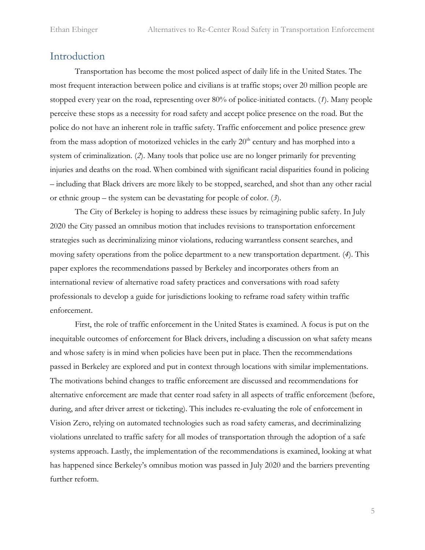# <span id="page-6-0"></span>Introduction

Transportation has become the most policed aspect of daily life in the United States. The most frequent interaction between police and civilians is at traffic stops; over 20 million people are stopped every year on the road, representing over 80% of police-initiated contacts. (*1*). Many people perceive these stops as a necessity for road safety and accept police presence on the road. But the police do not have an inherent role in traffic safety. Traffic enforcement and police presence grew from the mass adoption of motorized vehicles in the early  $20<sup>th</sup>$  century and has morphed into a system of criminalization. (*2*). Many tools that police use are no longer primarily for preventing injuries and deaths on the road. When combined with significant racial disparities found in policing – including that Black drivers are more likely to be stopped, searched, and shot than any other racial or ethnic group – the system can be devastating for people of color. (*3*).

The City of Berkeley is hoping to address these issues by reimagining public safety. In July 2020 the City passed an omnibus motion that includes revisions to transportation enforcement strategies such as decriminalizing minor violations, reducing warrantless consent searches, and moving safety operations from the police department to a new transportation department. (*4*). This paper explores the recommendations passed by Berkeley and incorporates others from an international review of alternative road safety practices and conversations with road safety professionals to develop a guide for jurisdictions looking to reframe road safety within traffic enforcement.

First, the role of traffic enforcement in the United States is examined. A focus is put on the inequitable outcomes of enforcement for Black drivers, including a discussion on what safety means and whose safety is in mind when policies have been put in place. Then the recommendations passed in Berkeley are explored and put in context through locations with similar implementations. The motivations behind changes to traffic enforcement are discussed and recommendations for alternative enforcement are made that center road safety in all aspects of traffic enforcement (before, during, and after driver arrest or ticketing). This includes re-evaluating the role of enforcement in Vision Zero, relying on automated technologies such as road safety cameras, and decriminalizing violations unrelated to traffic safety for all modes of transportation through the adoption of a safe systems approach. Lastly, the implementation of the recommendations is examined, looking at what has happened since Berkeley's omnibus motion was passed in July 2020 and the barriers preventing further reform.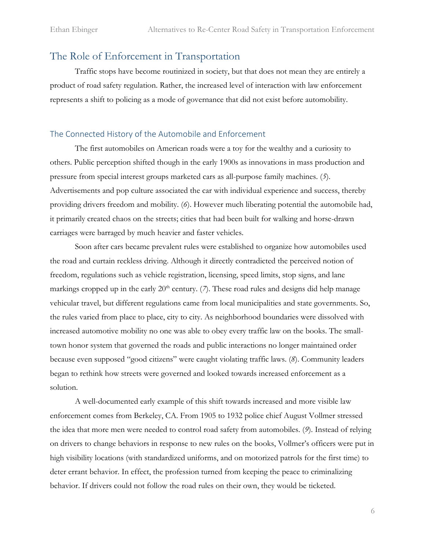# <span id="page-7-0"></span>The Role of Enforcement in Transportation

Traffic stops have become routinized in society, but that does not mean they are entirely a product of road safety regulation. Rather, the increased level of interaction with law enforcement represents a shift to policing as a mode of governance that did not exist before automobility.

#### <span id="page-7-1"></span>The Connected History of the Automobile and Enforcement

The first automobiles on American roads were a toy for the wealthy and a curiosity to others. Public perception shifted though in the early 1900s as innovations in mass production and pressure from special interest groups marketed cars as all-purpose family machines. (*5*). Advertisements and pop culture associated the car with individual experience and success, thereby providing drivers freedom and mobility. (*6*). However much liberating potential the automobile had, it primarily created chaos on the streets; cities that had been built for walking and horse-drawn carriages were barraged by much heavier and faster vehicles.

Soon after cars became prevalent rules were established to organize how automobiles used the road and curtain reckless driving. Although it directly contradicted the perceived notion of freedom, regulations such as vehicle registration, licensing, speed limits, stop signs, and lane markings cropped up in the early  $20<sup>th</sup>$  century. (7). These road rules and designs did help manage vehicular travel, but different regulations came from local municipalities and state governments. So, the rules varied from place to place, city to city. As neighborhood boundaries were dissolved with increased automotive mobility no one was able to obey every traffic law on the books. The smalltown honor system that governed the roads and public interactions no longer maintained order because even supposed "good citizens" were caught violating traffic laws. (*8*). Community leaders began to rethink how streets were governed and looked towards increased enforcement as a solution.

A well-documented early example of this shift towards increased and more visible law enforcement comes from Berkeley, CA. From 1905 to 1932 police chief August Vollmer stressed the idea that more men were needed to control road safety from automobiles. (*9*). Instead of relying on drivers to change behaviors in response to new rules on the books, Vollmer's officers were put in high visibility locations (with standardized uniforms, and on motorized patrols for the first time) to deter errant behavior. In effect, the profession turned from keeping the peace to criminalizing behavior. If drivers could not follow the road rules on their own, they would be ticketed.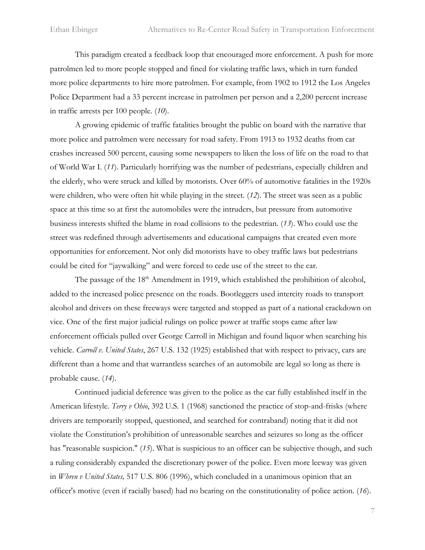This paradigm created a feedback loop that encouraged more enforcement. A push for more patrolmen led to more people stopped and fined for violating traffic laws, which in turn funded more police departments to hire more patrolmen. For example, from 1902 to 1912 the Los Angeles Police Department had a 33 percent increase in patrolmen per person and a 2,200 percent increase in traffic arrests per 100 people. (*10*).

A growing epidemic of traffic fatalities brought the public on board with the narrative that more police and patrolmen were necessary for road safety. From 1913 to 1932 deaths from car crashes increased 500 percent, causing some newspapers to liken the loss of life on the road to that of World War I. (*11*). Particularly horrifying was the number of pedestrians, especially children and the elderly, who were struck and killed by motorists. Over 60% of automotive fatalities in the 1920s were children, who were often hit while playing in the street. (*12*). The street was seen as a public space at this time so at first the automobiles were the intruders, but pressure from automotive business interests shifted the blame in road collisions to the pedestrian. (*13*). Who could use the street was redefined through advertisements and educational campaigns that created even more opportunities for enforcement. Not only did motorists have to obey traffic laws but pedestrians could be cited for "jaywalking" and were forced to cede use of the street to the car.

The passage of the 18<sup>th</sup> Amendment in 1919, which established the prohibition of alcohol, added to the increased police presence on the roads. Bootleggers used intercity roads to transport alcohol and drivers on these freeways were targeted and stopped as part of a national crackdown on vice. One of the first major judicial rulings on police power at traffic stops came after law enforcement officials pulled over George Carroll in Michigan and found liquor when searching his vehicle. *Carroll v. United States*, 267 U.S. 132 (1925) established that with respect to privacy, cars are different than a home and that warrantless searches of an automobile are legal so long as there is probable cause. (*14*).

Continued judicial deference was given to the police as the car fully established itself in the American lifestyle. *Terry v Ohio*, 392 U.S. 1 (1968) sanctioned the practice of stop-and-frisks (where drivers are temporarily stopped, questioned, and searched for contraband) noting that it did not violate the Constitution's prohibition of unreasonable searches and seizures so long as the officer has "reasonable suspicion." (*15*). What is suspicious to an officer can be subjective though, and such a ruling considerably expanded the discretionary power of the police. Even more leeway was given in *Whren v United States,* 517 U.S. 806 (1996), which concluded in a unanimous opinion that an officer's motive (even if racially based) had no bearing on the constitutionality of police action. (*16*).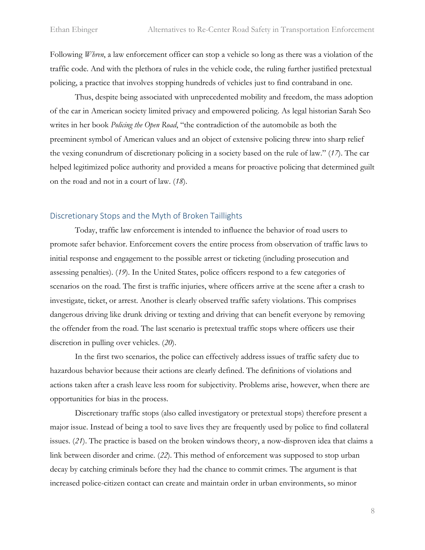Following *Whren*, a law enforcement officer can stop a vehicle so long as there was a violation of the traffic code. And with the plethora of rules in the vehicle code, the ruling further justified pretextual policing, a practice that involves stopping hundreds of vehicles just to find contraband in one.

Thus, despite being associated with unprecedented mobility and freedom, the mass adoption of the car in American society limited privacy and empowered policing. As legal historian Sarah Seo writes in her book *Policing the Open Road*, "the contradiction of the automobile as both the preeminent symbol of American values and an object of extensive policing threw into sharp relief the vexing conundrum of discretionary policing in a society based on the rule of law." (*17*). The car helped legitimized police authority and provided a means for proactive policing that determined guilt on the road and not in a court of law. (*18*).

#### <span id="page-9-0"></span>Discretionary Stops and the Myth of Broken Taillights

Today, traffic law enforcement is intended to influence the behavior of road users to promote safer behavior. Enforcement covers the entire process from observation of traffic laws to initial response and engagement to the possible arrest or ticketing (including prosecution and assessing penalties). (*19*). In the United States, police officers respond to a few categories of scenarios on the road. The first is traffic injuries, where officers arrive at the scene after a crash to investigate, ticket, or arrest. Another is clearly observed traffic safety violations. This comprises dangerous driving like drunk driving or texting and driving that can benefit everyone by removing the offender from the road. The last scenario is pretextual traffic stops where officers use their discretion in pulling over vehicles. (*20*).

In the first two scenarios, the police can effectively address issues of traffic safety due to hazardous behavior because their actions are clearly defined. The definitions of violations and actions taken after a crash leave less room for subjectivity. Problems arise, however, when there are opportunities for bias in the process.

Discretionary traffic stops (also called investigatory or pretextual stops) therefore present a major issue. Instead of being a tool to save lives they are frequently used by police to find collateral issues. (*21*). The practice is based on the broken windows theory, a now-disproven idea that claims a link between disorder and crime. (*22*). This method of enforcement was supposed to stop urban decay by catching criminals before they had the chance to commit crimes. The argument is that increased police-citizen contact can create and maintain order in urban environments, so minor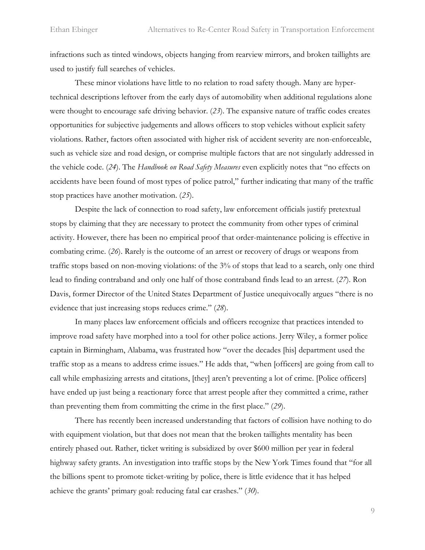infractions such as tinted windows, objects hanging from rearview mirrors, and broken taillights are used to justify full searches of vehicles.

These minor violations have little to no relation to road safety though. Many are hypertechnical descriptions leftover from the early days of automobility when additional regulations alone were thought to encourage safe driving behavior. (*23*). The expansive nature of traffic codes creates opportunities for subjective judgements and allows officers to stop vehicles without explicit safety violations. Rather, factors often associated with higher risk of accident severity are non-enforceable, such as vehicle size and road design, or comprise multiple factors that are not singularly addressed in the vehicle code. (*24*). The *Handbook on Road Safety Measures* even explicitly notes that "no effects on accidents have been found of most types of police patrol," further indicating that many of the traffic stop practices have another motivation. (*25*).

Despite the lack of connection to road safety, law enforcement officials justify pretextual stops by claiming that they are necessary to protect the community from other types of criminal activity. However, there has been no empirical proof that order-maintenance policing is effective in combating crime. (*26*). Rarely is the outcome of an arrest or recovery of drugs or weapons from traffic stops based on non-moving violations: of the 3% of stops that lead to a search, only one third lead to finding contraband and only one half of those contraband finds lead to an arrest. (*27*). Ron Davis, former Director of the United States Department of Justice unequivocally argues "there is no evidence that just increasing stops reduces crime." (*28*).

In many places law enforcement officials and officers recognize that practices intended to improve road safety have morphed into a tool for other police actions. Jerry Wiley, a former police captain in Birmingham, Alabama, was frustrated how "over the decades [his] department used the traffic stop as a means to address crime issues." He adds that, "when [officers] are going from call to call while emphasizing arrests and citations, [they] aren't preventing a lot of crime. [Police officers] have ended up just being a reactionary force that arrest people after they committed a crime, rather than preventing them from committing the crime in the first place." (*29*).

There has recently been increased understanding that factors of collision have nothing to do with equipment violation, but that does not mean that the broken taillights mentality has been entirely phased out. Rather, ticket writing is subsidized by over \$600 million per year in federal highway safety grants. An investigation into traffic stops by the New York Times found that "for all the billions spent to promote ticket-writing by police, there is little evidence that it has helped achieve the grants' primary goal: reducing fatal car crashes." (*30*).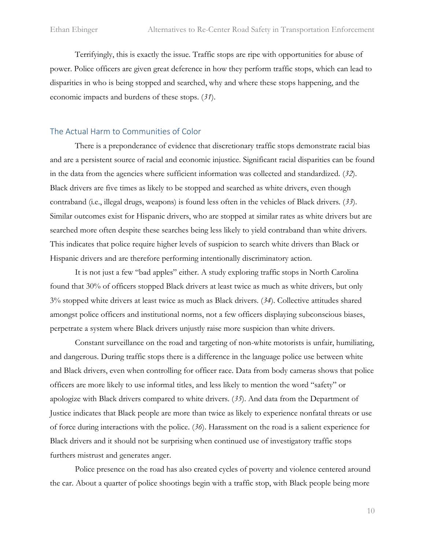Terrifyingly, this is exactly the issue. Traffic stops are ripe with opportunities for abuse of power. Police officers are given great deference in how they perform traffic stops, which can lead to disparities in who is being stopped and searched, why and where these stops happening, and the economic impacts and burdens of these stops. (*31*).

#### <span id="page-11-0"></span>The Actual Harm to Communities of Color

There is a preponderance of evidence that discretionary traffic stops demonstrate racial bias and are a persistent source of racial and economic injustice. Significant racial disparities can be found in the data from the agencies where sufficient information was collected and standardized. (*32*). Black drivers are five times as likely to be stopped and searched as white drivers, even though contraband (i.e., illegal drugs, weapons) is found less often in the vehicles of Black drivers. (*33*). Similar outcomes exist for Hispanic drivers, who are stopped at similar rates as white drivers but are searched more often despite these searches being less likely to yield contraband than white drivers. This indicates that police require higher levels of suspicion to search white drivers than Black or Hispanic drivers and are therefore performing intentionally discriminatory action.

It is not just a few "bad apples" either. A study exploring traffic stops in North Carolina found that 30% of officers stopped Black drivers at least twice as much as white drivers, but only 3% stopped white drivers at least twice as much as Black drivers. (*34*). Collective attitudes shared amongst police officers and institutional norms, not a few officers displaying subconscious biases, perpetrate a system where Black drivers unjustly raise more suspicion than white drivers.

Constant surveillance on the road and targeting of non-white motorists is unfair, humiliating, and dangerous. During traffic stops there is a difference in the language police use between white and Black drivers, even when controlling for officer race. Data from body cameras shows that police officers are more likely to use informal titles, and less likely to mention the word "safety" or apologize with Black drivers compared to white drivers. (*35*). And data from the Department of Justice indicates that Black people are more than twice as likely to experience nonfatal threats or use of force during interactions with the police. (*36*). Harassment on the road is a salient experience for Black drivers and it should not be surprising when continued use of investigatory traffic stops furthers mistrust and generates anger.

Police presence on the road has also created cycles of poverty and violence centered around the car. About a quarter of police shootings begin with a traffic stop, with Black people being more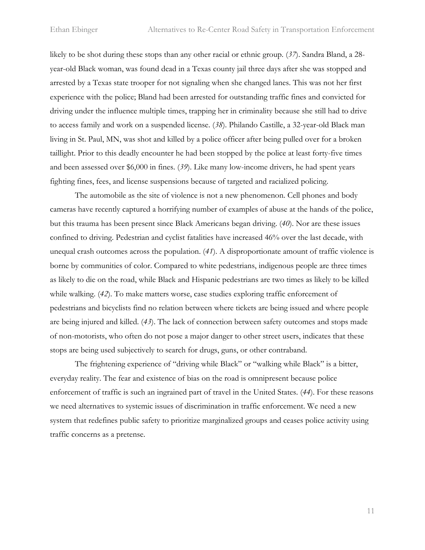likely to be shot during these stops than any other racial or ethnic group. (*37*). Sandra Bland, a 28 year-old Black woman, was found dead in a Texas county jail three days after she was stopped and arrested by a Texas state trooper for not signaling when she changed lanes. This was not her first experience with the police; Bland had been arrested for outstanding traffic fines and convicted for driving under the influence multiple times, trapping her in criminality because she still had to drive to access family and work on a suspended license. (*38*). Philando Castille, a 32-year-old Black man living in St. Paul, MN, was shot and killed by a police officer after being pulled over for a broken taillight. Prior to this deadly encounter he had been stopped by the police at least forty-five times and been assessed over \$6,000 in fines. (*39*). Like many low-income drivers, he had spent years fighting fines, fees, and license suspensions because of targeted and racialized policing.

The automobile as the site of violence is not a new phenomenon. Cell phones and body cameras have recently captured a horrifying number of examples of abuse at the hands of the police, but this trauma has been present since Black Americans began driving. (*40*). Nor are these issues confined to driving. Pedestrian and cyclist fatalities have increased 46% over the last decade, with unequal crash outcomes across the population. (*41*). A disproportionate amount of traffic violence is borne by communities of color. Compared to white pedestrians, indigenous people are three times as likely to die on the road, while Black and Hispanic pedestrians are two times as likely to be killed while walking. (*42*). To make matters worse, case studies exploring traffic enforcement of pedestrians and bicyclists find no relation between where tickets are being issued and where people are being injured and killed. (*43*). The lack of connection between safety outcomes and stops made of non-motorists, who often do not pose a major danger to other street users, indicates that these stops are being used subjectively to search for drugs, guns, or other contraband.

The frightening experience of "driving while Black" or "walking while Black" is a bitter, everyday reality. The fear and existence of bias on the road is omnipresent because police enforcement of traffic is such an ingrained part of travel in the United States. (*44*). For these reasons we need alternatives to systemic issues of discrimination in traffic enforcement. We need a new system that redefines public safety to prioritize marginalized groups and ceases police activity using traffic concerns as a pretense.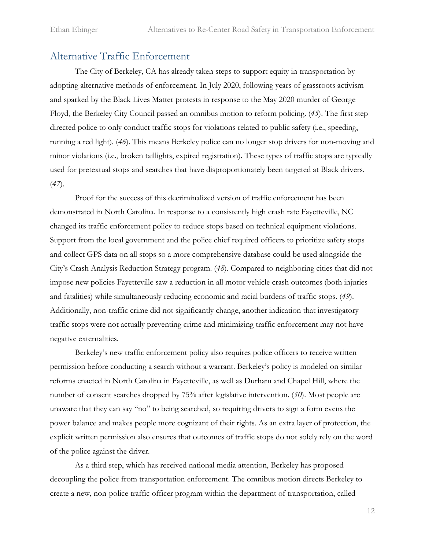# <span id="page-13-0"></span>Alternative Traffic Enforcement

The City of Berkeley, CA has already taken steps to support equity in transportation by adopting alternative methods of enforcement. In July 2020, following years of grassroots activism and sparked by the Black Lives Matter protests in response to the May 2020 murder of George Floyd, the Berkeley City Council passed an omnibus motion to reform policing. (*45*). The first step directed police to only conduct traffic stops for violations related to public safety (i.e., speeding, running a red light). (*46*). This means Berkeley police can no longer stop drivers for non-moving and minor violations (i.e., broken taillights, expired registration). These types of traffic stops are typically used for pretextual stops and searches that have disproportionately been targeted at Black drivers. (*47*).

Proof for the success of this decriminalized version of traffic enforcement has been demonstrated in North Carolina. In response to a consistently high crash rate Fayetteville, NC changed its traffic enforcement policy to reduce stops based on technical equipment violations. Support from the local government and the police chief required officers to prioritize safety stops and collect GPS data on all stops so a more comprehensive database could be used alongside the City's Crash Analysis Reduction Strategy program. (*48*). Compared to neighboring cities that did not impose new policies Fayetteville saw a reduction in all motor vehicle crash outcomes (both injuries and fatalities) while simultaneously reducing economic and racial burdens of traffic stops. (*49*). Additionally, non-traffic crime did not significantly change, another indication that investigatory traffic stops were not actually preventing crime and minimizing traffic enforcement may not have negative externalities.

Berkeley's new traffic enforcement policy also requires police officers to receive written permission before conducting a search without a warrant. Berkeley's policy is modeled on similar reforms enacted in North Carolina in Fayetteville, as well as Durham and Chapel Hill, where the number of consent searches dropped by 75% after legislative intervention. (*50*). Most people are unaware that they can say "no" to being searched, so requiring drivers to sign a form evens the power balance and makes people more cognizant of their rights. As an extra layer of protection, the explicit written permission also ensures that outcomes of traffic stops do not solely rely on the word of the police against the driver.

As a third step, which has received national media attention, Berkeley has proposed decoupling the police from transportation enforcement. The omnibus motion directs Berkeley to create a new, non-police traffic officer program within the department of transportation, called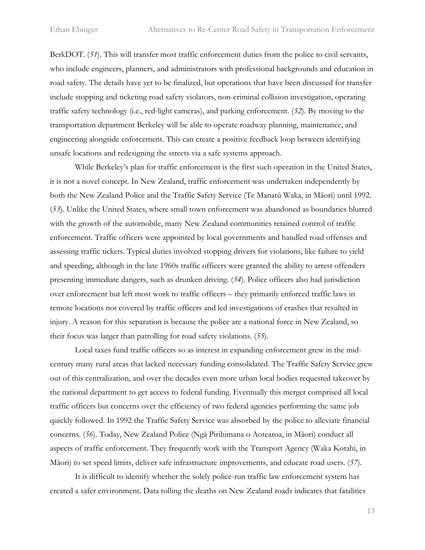BerkDOT. (*51*). This will transfer most traffic enforcement duties from the police to civil servants, who include engineers, planners, and administrators with professional backgrounds and education in road safety. The details have yet to be finalized, but operations that have been discussed for transfer include stopping and ticketing road safety violators, non-criminal collision investigation, operating traffic safety technology (i.e., red-light cameras), and parking enforcement. (*52*). By moving to the transportation department Berkeley will be able to operate roadway planning, maintenance, and engineering alongside enforcement. This can create a positive feedback loop between identifying unsafe locations and redesigning the streets via a safe systems approach.

While Berkeley's plan for traffic enforcement is the first such operation in the United States, it is not a novel concept. In New Zealand, traffic enforcement was undertaken independently by both the New Zealand Police and the Traffic Safety Service (Te Manatū Waka, in Māori) until 1992. (*53*). Unlike the United States, where small town enforcement was abandoned as boundaries blurred with the growth of the automobile, many New Zealand communities retained control of traffic enforcement. Traffic officers were appointed by local governments and handled road offenses and assessing traffic tickets. Typical duties involved stopping drivers for violations, like failure to yield and speeding, although in the late 1960s traffic officers were granted the ability to arrest offenders presenting immediate dangers, such as drunken driving. (*54*). Police officers also had jurisdiction over enforcement but left most work to traffic officers – they primarily enforced traffic laws in remote locations not covered by traffic officers and led investigations of crashes that resulted in injury. A reason for this separation is because the police are a national force in New Zealand, so their focus was larger than patrolling for road safety violations. (*55*).

Local taxes fund traffic officers so as interest in expanding enforcement grew in the midcentury many rural areas that lacked necessary funding consolidated. The Traffic Safety Service grew out of this centralization, and over the decades even more urban local bodies requested takeover by the national department to get access to federal funding. Eventually this merger comprised all local traffic officers but concerns over the efficiency of two federal agencies performing the same job quickly followed. In 1992 the Traffic Safety Service was absorbed by the police to alleviate financial concerns. (*56*). Today, New Zealand Police (Ngā Pirihimana o Aotearoa, in Māori) conduct all aspects of traffic enforcement. They frequently work with the Transport Agency (Waka Kotahi, in Māori) to set speed limits, deliver safe infrastructure improvements, and educate road users. (*57*).

It is difficult to identify whether the solely police-run traffic law enforcement system has created a safer environment. Data tolling the deaths on New Zealand roads indicates that fatalities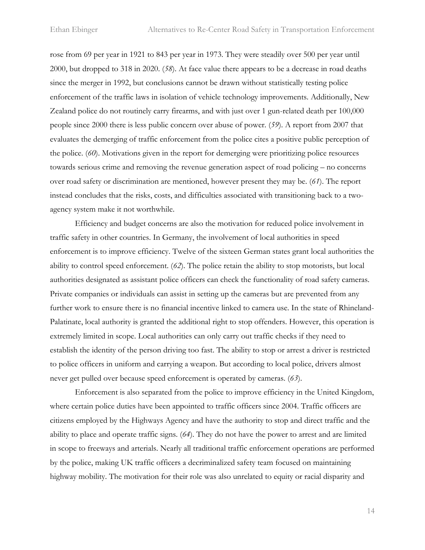rose from 69 per year in 1921 to 843 per year in 1973. They were steadily over 500 per year until 2000, but dropped to 318 in 2020. (*58*). At face value there appears to be a decrease in road deaths since the merger in 1992, but conclusions cannot be drawn without statistically testing police enforcement of the traffic laws in isolation of vehicle technology improvements. Additionally, New Zealand police do not routinely carry firearms, and with just over 1 gun-related death per 100,000 people since 2000 there is less public concern over abuse of power. (*59*). A report from 2007 that evaluates the demerging of traffic enforcement from the police cites a positive public perception of the police. (*60*). Motivations given in the report for demerging were prioritizing police resources towards serious crime and removing the revenue generation aspect of road policing – no concerns over road safety or discrimination are mentioned, however present they may be. (*61*). The report instead concludes that the risks, costs, and difficulties associated with transitioning back to a twoagency system make it not worthwhile.

Efficiency and budget concerns are also the motivation for reduced police involvement in traffic safety in other countries. In Germany, the involvement of local authorities in speed enforcement is to improve efficiency. Twelve of the sixteen German states grant local authorities the ability to control speed enforcement. (*62*). The police retain the ability to stop motorists, but local authorities designated as assistant police officers can check the functionality of road safety cameras. Private companies or individuals can assist in setting up the cameras but are prevented from any further work to ensure there is no financial incentive linked to camera use. In the state of Rhineland-Palatinate, local authority is granted the additional right to stop offenders. However, this operation is extremely limited in scope. Local authorities can only carry out traffic checks if they need to establish the identity of the person driving too fast. The ability to stop or arrest a driver is restricted to police officers in uniform and carrying a weapon. But according to local police, drivers almost never get pulled over because speed enforcement is operated by cameras. (*63*).

Enforcement is also separated from the police to improve efficiency in the United Kingdom, where certain police duties have been appointed to traffic officers since 2004. Traffic officers are citizens employed by the Highways Agency and have the authority to stop and direct traffic and the ability to place and operate traffic signs. (*64*). They do not have the power to arrest and are limited in scope to freeways and arterials. Nearly all traditional traffic enforcement operations are performed by the police, making UK traffic officers a decriminalized safety team focused on maintaining highway mobility. The motivation for their role was also unrelated to equity or racial disparity and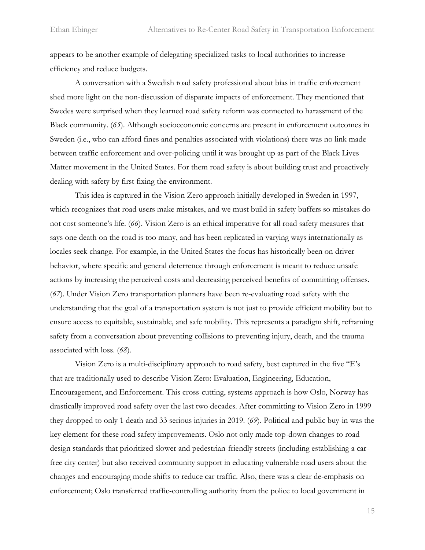appears to be another example of delegating specialized tasks to local authorities to increase efficiency and reduce budgets.

A conversation with a Swedish road safety professional about bias in traffic enforcement shed more light on the non-discussion of disparate impacts of enforcement. They mentioned that Swedes were surprised when they learned road safety reform was connected to harassment of the Black community. (*65*). Although socioeconomic concerns are present in enforcement outcomes in Sweden (i.e., who can afford fines and penalties associated with violations) there was no link made between traffic enforcement and over-policing until it was brought up as part of the Black Lives Matter movement in the United States. For them road safety is about building trust and proactively dealing with safety by first fixing the environment.

This idea is captured in the Vision Zero approach initially developed in Sweden in 1997, which recognizes that road users make mistakes, and we must build in safety buffers so mistakes do not cost someone's life. (*66*). Vision Zero is an ethical imperative for all road safety measures that says one death on the road is too many, and has been replicated in varying ways internationally as locales seek change. For example, in the United States the focus has historically been on driver behavior, where specific and general deterrence through enforcement is meant to reduce unsafe actions by increasing the perceived costs and decreasing perceived benefits of committing offenses. (*67*). Under Vision Zero transportation planners have been re-evaluating road safety with the understanding that the goal of a transportation system is not just to provide efficient mobility but to ensure access to equitable, sustainable, and safe mobility. This represents a paradigm shift, reframing safety from a conversation about preventing collisions to preventing injury, death, and the trauma associated with loss. (*68*).

Vision Zero is a multi-disciplinary approach to road safety, best captured in the five "E's that are traditionally used to describe Vision Zero: Evaluation, Engineering, Education, Encouragement, and Enforcement. This cross-cutting, systems approach is how Oslo, Norway has drastically improved road safety over the last two decades. After committing to Vision Zero in 1999 they dropped to only 1 death and 33 serious injuries in 2019. (*69*). Political and public buy-in was the key element for these road safety improvements. Oslo not only made top-down changes to road design standards that prioritized slower and pedestrian-friendly streets (including establishing a carfree city center) but also received community support in educating vulnerable road users about the changes and encouraging mode shifts to reduce car traffic. Also, there was a clear de-emphasis on enforcement; Oslo transferred traffic-controlling authority from the police to local government in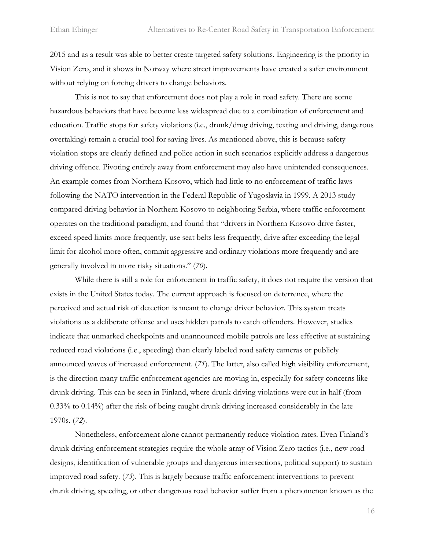2015 and as a result was able to better create targeted safety solutions. Engineering is the priority in Vision Zero, and it shows in Norway where street improvements have created a safer environment without relying on forcing drivers to change behaviors.

This is not to say that enforcement does not play a role in road safety. There are some hazardous behaviors that have become less widespread due to a combination of enforcement and education. Traffic stops for safety violations (i.e., drunk/drug driving, texting and driving, dangerous overtaking) remain a crucial tool for saving lives. As mentioned above, this is because safety violation stops are clearly defined and police action in such scenarios explicitly address a dangerous driving offence. Pivoting entirely away from enforcement may also have unintended consequences. An example comes from Northern Kosovo, which had little to no enforcement of traffic laws following the NATO intervention in the Federal Republic of Yugoslavia in 1999. A 2013 study compared driving behavior in Northern Kosovo to neighboring Serbia, where traffic enforcement operates on the traditional paradigm, and found that "drivers in Northern Kosovo drive faster, exceed speed limits more frequently, use seat belts less frequently, drive after exceeding the legal limit for alcohol more often, commit aggressive and ordinary violations more frequently and are generally involved in more risky situations." (*70*).

While there is still a role for enforcement in traffic safety, it does not require the version that exists in the United States today. The current approach is focused on deterrence, where the perceived and actual risk of detection is meant to change driver behavior. This system treats violations as a deliberate offense and uses hidden patrols to catch offenders. However, studies indicate that unmarked checkpoints and unannounced mobile patrols are less effective at sustaining reduced road violations (i.e., speeding) than clearly labeled road safety cameras or publicly announced waves of increased enforcement. (*71*). The latter, also called high visibility enforcement, is the direction many traffic enforcement agencies are moving in, especially for safety concerns like drunk driving. This can be seen in Finland, where drunk driving violations were cut in half (from 0.33% to 0.14%) after the risk of being caught drunk driving increased considerably in the late 1970s. (*72*).

Nonetheless, enforcement alone cannot permanently reduce violation rates. Even Finland's drunk driving enforcement strategies require the whole array of Vision Zero tactics (i.e., new road designs, identification of vulnerable groups and dangerous intersections, political support) to sustain improved road safety. (*73*). This is largely because traffic enforcement interventions to prevent drunk driving, speeding, or other dangerous road behavior suffer from a phenomenon known as the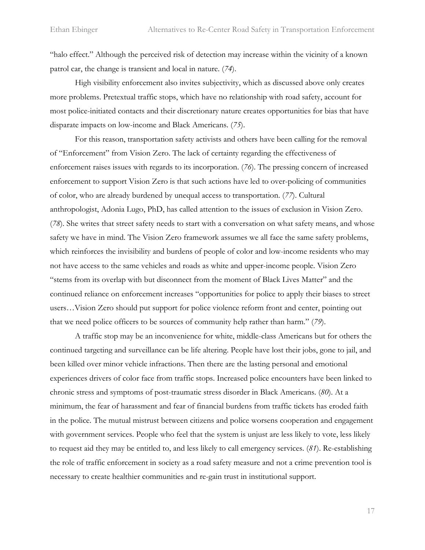"halo effect." Although the perceived risk of detection may increase within the vicinity of a known patrol car, the change is transient and local in nature. (*74*).

High visibility enforcement also invites subjectivity, which as discussed above only creates more problems. Pretextual traffic stops, which have no relationship with road safety, account for most police-initiated contacts and their discretionary nature creates opportunities for bias that have disparate impacts on low-income and Black Americans. (*75*).

For this reason, transportation safety activists and others have been calling for the removal of "Enforcement" from Vision Zero. The lack of certainty regarding the effectiveness of enforcement raises issues with regards to its incorporation. (*76*). The pressing concern of increased enforcement to support Vision Zero is that such actions have led to over-policing of communities of color, who are already burdened by unequal access to transportation. (*77*). Cultural anthropologist, Adonia Lugo, PhD, has called attention to the issues of exclusion in Vision Zero. (*78*). She writes that street safety needs to start with a conversation on what safety means, and whose safety we have in mind. The Vision Zero framework assumes we all face the same safety problems, which reinforces the invisibility and burdens of people of color and low-income residents who may not have access to the same vehicles and roads as white and upper-income people. Vision Zero "stems from its overlap with but disconnect from the moment of Black Lives Matter" and the continued reliance on enforcement increases "opportunities for police to apply their biases to street users…Vision Zero should put support for police violence reform front and center, pointing out that we need police officers to be sources of community help rather than harm." (*79*).

A traffic stop may be an inconvenience for white, middle-class Americans but for others the continued targeting and surveillance can be life altering. People have lost their jobs, gone to jail, and been killed over minor vehicle infractions. Then there are the lasting personal and emotional experiences drivers of color face from traffic stops. Increased police encounters have been linked to chronic stress and symptoms of post-traumatic stress disorder in Black Americans. (*80*). At a minimum, the fear of harassment and fear of financial burdens from traffic tickets has eroded faith in the police. The mutual mistrust between citizens and police worsens cooperation and engagement with government services. People who feel that the system is unjust are less likely to vote, less likely to request aid they may be entitled to, and less likely to call emergency services. (*81*). Re-establishing the role of traffic enforcement in society as a road safety measure and not a crime prevention tool is necessary to create healthier communities and re-gain trust in institutional support.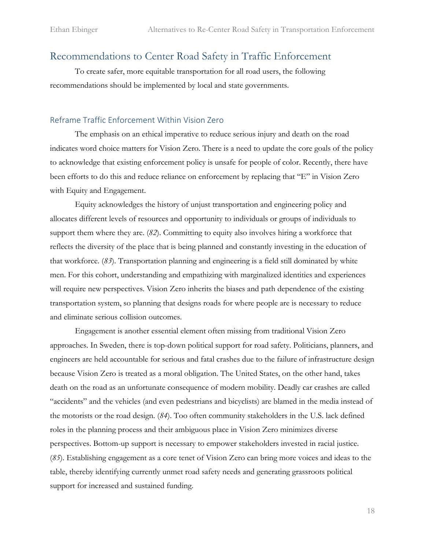### <span id="page-19-0"></span>Recommendations to Center Road Safety in Traffic Enforcement

To create safer, more equitable transportation for all road users, the following recommendations should be implemented by local and state governments.

#### <span id="page-19-1"></span>Reframe Traffic Enforcement Within Vision Zero

The emphasis on an ethical imperative to reduce serious injury and death on the road indicates word choice matters for Vision Zero. There is a need to update the core goals of the policy to acknowledge that existing enforcement policy is unsafe for people of color. Recently, there have been efforts to do this and reduce reliance on enforcement by replacing that "E" in Vision Zero with Equity and Engagement.

Equity acknowledges the history of unjust transportation and engineering policy and allocates different levels of resources and opportunity to individuals or groups of individuals to support them where they are. (*82*). Committing to equity also involves hiring a workforce that reflects the diversity of the place that is being planned and constantly investing in the education of that workforce. (*83*). Transportation planning and engineering is a field still dominated by white men. For this cohort, understanding and empathizing with marginalized identities and experiences will require new perspectives. Vision Zero inherits the biases and path dependence of the existing transportation system, so planning that designs roads for where people are is necessary to reduce and eliminate serious collision outcomes.

Engagement is another essential element often missing from traditional Vision Zero approaches. In Sweden, there is top-down political support for road safety. Politicians, planners, and engineers are held accountable for serious and fatal crashes due to the failure of infrastructure design because Vision Zero is treated as a moral obligation. The United States, on the other hand, takes death on the road as an unfortunate consequence of modern mobility. Deadly car crashes are called "accidents" and the vehicles (and even pedestrians and bicyclists) are blamed in the media instead of the motorists or the road design. (*84*). Too often community stakeholders in the U.S. lack defined roles in the planning process and their ambiguous place in Vision Zero minimizes diverse perspectives. Bottom-up support is necessary to empower stakeholders invested in racial justice. (*85*). Establishing engagement as a core tenet of Vision Zero can bring more voices and ideas to the table, thereby identifying currently unmet road safety needs and generating grassroots political support for increased and sustained funding.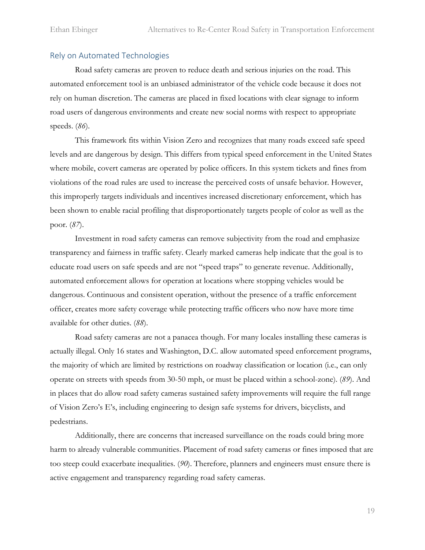#### <span id="page-20-0"></span>Rely on Automated Technologies

Road safety cameras are proven to reduce death and serious injuries on the road. This automated enforcement tool is an unbiased administrator of the vehicle code because it does not rely on human discretion. The cameras are placed in fixed locations with clear signage to inform road users of dangerous environments and create new social norms with respect to appropriate speeds. (*86*).

This framework fits within Vision Zero and recognizes that many roads exceed safe speed levels and are dangerous by design. This differs from typical speed enforcement in the United States where mobile, covert cameras are operated by police officers. In this system tickets and fines from violations of the road rules are used to increase the perceived costs of unsafe behavior. However, this improperly targets individuals and incentives increased discretionary enforcement, which has been shown to enable racial profiling that disproportionately targets people of color as well as the poor. (*87*).

Investment in road safety cameras can remove subjectivity from the road and emphasize transparency and fairness in traffic safety. Clearly marked cameras help indicate that the goal is to educate road users on safe speeds and are not "speed traps" to generate revenue. Additionally, automated enforcement allows for operation at locations where stopping vehicles would be dangerous. Continuous and consistent operation, without the presence of a traffic enforcement officer, creates more safety coverage while protecting traffic officers who now have more time available for other duties. (*88*).

Road safety cameras are not a panacea though. For many locales installing these cameras is actually illegal. Only 16 states and Washington, D.C. allow automated speed enforcement programs, the majority of which are limited by restrictions on roadway classification or location (i.e., can only operate on streets with speeds from 30-50 mph, or must be placed within a school-zone). (*89*). And in places that do allow road safety cameras sustained safety improvements will require the full range of Vision Zero's E's, including engineering to design safe systems for drivers, bicyclists, and pedestrians.

Additionally, there are concerns that increased surveillance on the roads could bring more harm to already vulnerable communities. Placement of road safety cameras or fines imposed that are too steep could exacerbate inequalities. (*90*). Therefore, planners and engineers must ensure there is active engagement and transparency regarding road safety cameras.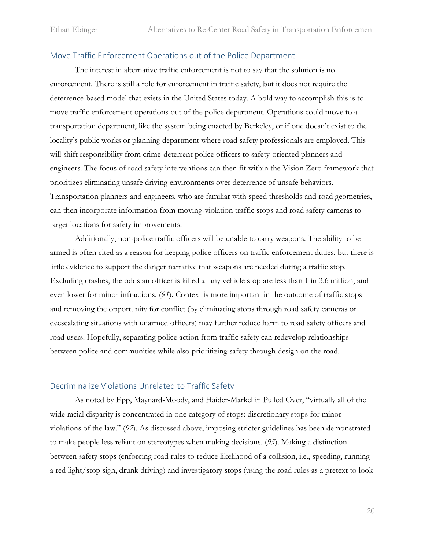#### <span id="page-21-0"></span>Move Traffic Enforcement Operations out of the Police Department

The interest in alternative traffic enforcement is not to say that the solution is no enforcement. There is still a role for enforcement in traffic safety, but it does not require the deterrence-based model that exists in the United States today. A bold way to accomplish this is to move traffic enforcement operations out of the police department. Operations could move to a transportation department, like the system being enacted by Berkeley, or if one doesn't exist to the locality's public works or planning department where road safety professionals are employed. This will shift responsibility from crime-deterrent police officers to safety-oriented planners and engineers. The focus of road safety interventions can then fit within the Vision Zero framework that prioritizes eliminating unsafe driving environments over deterrence of unsafe behaviors. Transportation planners and engineers, who are familiar with speed thresholds and road geometries, can then incorporate information from moving-violation traffic stops and road safety cameras to target locations for safety improvements.

Additionally, non-police traffic officers will be unable to carry weapons. The ability to be armed is often cited as a reason for keeping police officers on traffic enforcement duties, but there is little evidence to support the danger narrative that weapons are needed during a traffic stop. Excluding crashes, the odds an officer is killed at any vehicle stop are less than 1 in 3.6 million, and even lower for minor infractions. (*91*). Context is more important in the outcome of traffic stops and removing the opportunity for conflict (by eliminating stops through road safety cameras or deescalating situations with unarmed officers) may further reduce harm to road safety officers and road users. Hopefully, separating police action from traffic safety can redevelop relationships between police and communities while also prioritizing safety through design on the road.

#### <span id="page-21-1"></span>Decriminalize Violations Unrelated to Traffic Safety

As noted by Epp, Maynard-Moody, and Haider-Markel in Pulled Over, "virtually all of the wide racial disparity is concentrated in one category of stops: discretionary stops for minor violations of the law." (*92*). As discussed above, imposing stricter guidelines has been demonstrated to make people less reliant on stereotypes when making decisions. (*93*). Making a distinction between safety stops (enforcing road rules to reduce likelihood of a collision, i.e., speeding, running a red light/stop sign, drunk driving) and investigatory stops (using the road rules as a pretext to look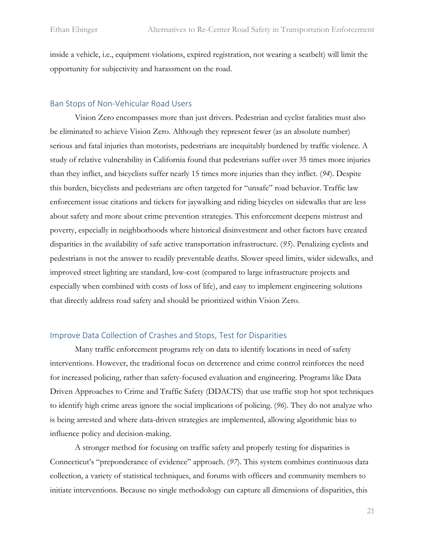inside a vehicle, i.e., equipment violations, expired registration, not wearing a seatbelt) will limit the opportunity for subjectivity and harassment on the road.

#### <span id="page-22-0"></span>Ban Stops of Non-Vehicular Road Users

Vision Zero encompasses more than just drivers. Pedestrian and cyclist fatalities must also be eliminated to achieve Vision Zero. Although they represent fewer (as an absolute number) serious and fatal injuries than motorists, pedestrians are inequitably burdened by traffic violence. A study of relative vulnerability in California found that pedestrians suffer over 35 times more injuries than they inflict, and bicyclists suffer nearly 15 times more injuries than they inflict. (*94*). Despite this burden, bicyclists and pedestrians are often targeted for "unsafe" road behavior. Traffic law enforcement issue citations and tickets for jaywalking and riding bicycles on sidewalks that are less about safety and more about crime prevention strategies. This enforcement deepens mistrust and poverty, especially in neighborhoods where historical disinvestment and other factors have created disparities in the availability of safe active transportation infrastructure. (*95*). Penalizing cyclists and pedestrians is not the answer to readily preventable deaths. Slower speed limits, wider sidewalks, and improved street lighting are standard, low-cost (compared to large infrastructure projects and especially when combined with costs of loss of life), and easy to implement engineering solutions that directly address road safety and should be prioritized within Vision Zero.

#### <span id="page-22-1"></span>Improve Data Collection of Crashes and Stops, Test for Disparities

Many traffic enforcement programs rely on data to identify locations in need of safety interventions. However, the traditional focus on deterrence and crime control reinforces the need for increased policing, rather than safety-focused evaluation and engineering. Programs like Data Driven Approaches to Crime and Traffic Safety (DDACTS) that use traffic stop hot spot techniques to identify high crime areas ignore the social implications of policing. (*96*). They do not analyze who is being arrested and where data-driven strategies are implemented, allowing algorithmic bias to influence policy and decision-making.

A stronger method for focusing on traffic safety and properly testing for disparities is Connecticut's "preponderance of evidence" approach. (*97*). This system combines continuous data collection, a variety of statistical techniques, and forums with officers and community members to initiate interventions. Because no single methodology can capture all dimensions of disparities, this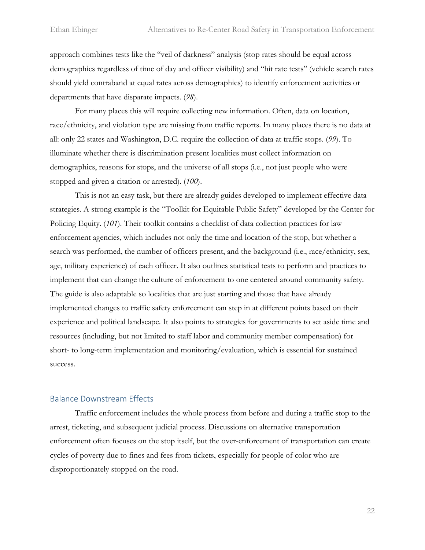approach combines tests like the "veil of darkness" analysis (stop rates should be equal across demographics regardless of time of day and officer visibility) and "hit rate tests" (vehicle search rates should yield contraband at equal rates across demographics) to identify enforcement activities or departments that have disparate impacts. (*98*).

For many places this will require collecting new information. Often, data on location, race/ethnicity, and violation type are missing from traffic reports. In many places there is no data at all: only 22 states and Washington, D.C. require the collection of data at traffic stops. (*99*). To illuminate whether there is discrimination present localities must collect information on demographics, reasons for stops, and the universe of all stops (i.e., not just people who were stopped and given a citation or arrested). (*100*).

This is not an easy task, but there are already guides developed to implement effective data strategies. A strong example is the "Toolkit for Equitable Public Safety" developed by the Center for Policing Equity. (*101*). Their toolkit contains a checklist of data collection practices for law enforcement agencies, which includes not only the time and location of the stop, but whether a search was performed, the number of officers present, and the background (i.e., race/ethnicity, sex, age, military experience) of each officer. It also outlines statistical tests to perform and practices to implement that can change the culture of enforcement to one centered around community safety. The guide is also adaptable so localities that are just starting and those that have already implemented changes to traffic safety enforcement can step in at different points based on their experience and political landscape. It also points to strategies for governments to set aside time and resources (including, but not limited to staff labor and community member compensation) for short- to long-term implementation and monitoring/evaluation, which is essential for sustained success.

#### <span id="page-23-0"></span>Balance Downstream Effects

Traffic enforcement includes the whole process from before and during a traffic stop to the arrest, ticketing, and subsequent judicial process. Discussions on alternative transportation enforcement often focuses on the stop itself, but the over-enforcement of transportation can create cycles of poverty due to fines and fees from tickets, especially for people of color who are disproportionately stopped on the road.

22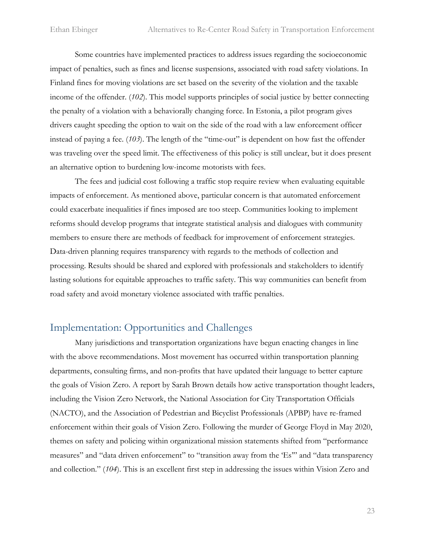Some countries have implemented practices to address issues regarding the socioeconomic impact of penalties, such as fines and license suspensions, associated with road safety violations. In Finland fines for moving violations are set based on the severity of the violation and the taxable income of the offender. (*102*). This model supports principles of social justice by better connecting the penalty of a violation with a behaviorally changing force. In Estonia, a pilot program gives drivers caught speeding the option to wait on the side of the road with a law enforcement officer instead of paying a fee. (*103*). The length of the "time-out" is dependent on how fast the offender was traveling over the speed limit. The effectiveness of this policy is still unclear, but it does present an alternative option to burdening low-income motorists with fees.

The fees and judicial cost following a traffic stop require review when evaluating equitable impacts of enforcement. As mentioned above, particular concern is that automated enforcement could exacerbate inequalities if fines imposed are too steep. Communities looking to implement reforms should develop programs that integrate statistical analysis and dialogues with community members to ensure there are methods of feedback for improvement of enforcement strategies. Data-driven planning requires transparency with regards to the methods of collection and processing. Results should be shared and explored with professionals and stakeholders to identify lasting solutions for equitable approaches to traffic safety. This way communities can benefit from road safety and avoid monetary violence associated with traffic penalties.

# <span id="page-24-0"></span>Implementation: Opportunities and Challenges

Many jurisdictions and transportation organizations have begun enacting changes in line with the above recommendations. Most movement has occurred within transportation planning departments, consulting firms, and non-profits that have updated their language to better capture the goals of Vision Zero. A report by Sarah Brown details how active transportation thought leaders, including the Vision Zero Network, the National Association for City Transportation Officials (NACTO), and the Association of Pedestrian and Bicyclist Professionals (APBP) have re-framed enforcement within their goals of Vision Zero. Following the murder of George Floyd in May 2020, themes on safety and policing within organizational mission statements shifted from "performance measures" and "data driven enforcement" to "transition away from the 'Es'" and "data transparency and collection." (*104*). This is an excellent first step in addressing the issues within Vision Zero and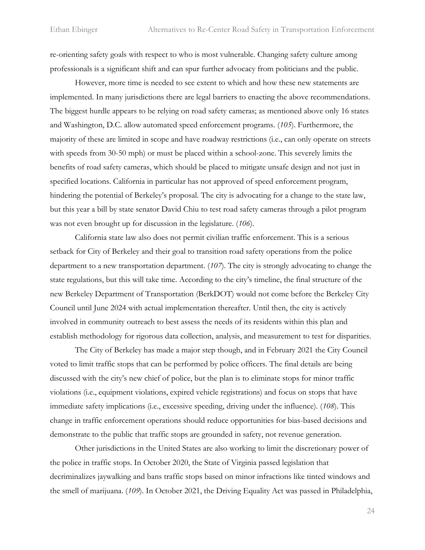re-orienting safety goals with respect to who is most vulnerable. Changing safety culture among professionals is a significant shift and can spur further advocacy from politicians and the public.

However, more time is needed to see extent to which and how these new statements are implemented. In many jurisdictions there are legal barriers to enacting the above recommendations. The biggest hurdle appears to be relying on road safety cameras; as mentioned above only 16 states and Washington, D.C. allow automated speed enforcement programs. (*105*). Furthermore, the majority of these are limited in scope and have roadway restrictions (i.e., can only operate on streets with speeds from 30-50 mph) or must be placed within a school-zone. This severely limits the benefits of road safety cameras, which should be placed to mitigate unsafe design and not just in specified locations. California in particular has not approved of speed enforcement program, hindering the potential of Berkeley's proposal. The city is advocating for a change to the state law, but this year a bill by state senator David Chiu to test road safety cameras through a pilot program was not even brought up for discussion in the legislature. (*106*).

California state law also does not permit civilian traffic enforcement. This is a serious setback for City of Berkeley and their goal to transition road safety operations from the police department to a new transportation department. (*107*). The city is strongly advocating to change the state regulations, but this will take time. According to the city's timeline, the final structure of the new Berkeley Department of Transportation (BerkDOT) would not come before the Berkeley City Council until June 2024 with actual implementation thereafter. Until then, the city is actively involved in community outreach to best assess the needs of its residents within this plan and establish methodology for rigorous data collection, analysis, and measurement to test for disparities.

The City of Berkeley has made a major step though, and in February 2021 the City Council voted to limit traffic stops that can be performed by police officers. The final details are being discussed with the city's new chief of police, but the plan is to eliminate stops for minor traffic violations (i.e., equipment violations, expired vehicle registrations) and focus on stops that have immediate safety implications (i.e., excessive speeding, driving under the influence). (*108*). This change in traffic enforcement operations should reduce opportunities for bias-based decisions and demonstrate to the public that traffic stops are grounded in safety, not revenue generation.

Other jurisdictions in the United States are also working to limit the discretionary power of the police in traffic stops. In October 2020, the State of Virginia passed legislation that decriminalizes jaywalking and bans traffic stops based on minor infractions like tinted windows and the smell of marijuana. (*109*). In October 2021, the Driving Equality Act was passed in Philadelphia,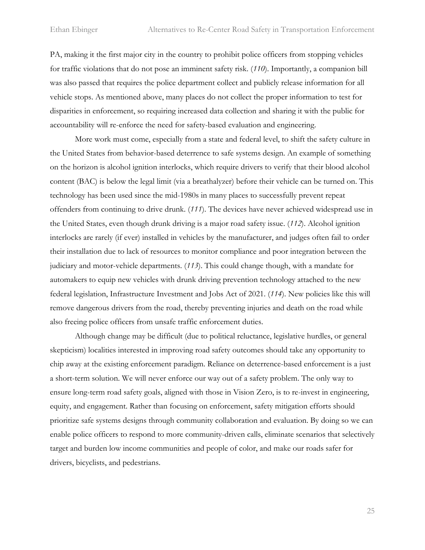PA, making it the first major city in the country to prohibit police officers from stopping vehicles for traffic violations that do not pose an imminent safety risk. (*110*). Importantly, a companion bill was also passed that requires the police department collect and publicly release information for all vehicle stops. As mentioned above, many places do not collect the proper information to test for disparities in enforcement, so requiring increased data collection and sharing it with the public for accountability will re-enforce the need for safety-based evaluation and engineering.

More work must come, especially from a state and federal level, to shift the safety culture in the United States from behavior-based deterrence to safe systems design. An example of something on the horizon is alcohol ignition interlocks, which require drivers to verify that their blood alcohol content (BAC) is below the legal limit (via a breathalyzer) before their vehicle can be turned on. This technology has been used since the mid-1980s in many places to successfully prevent repeat offenders from continuing to drive drunk. (*111*). The devices have never achieved widespread use in the United States, even though drunk driving is a major road safety issue. (*112*). Alcohol ignition interlocks are rarely (if ever) installed in vehicles by the manufacturer, and judges often fail to order their installation due to lack of resources to monitor compliance and poor integration between the judiciary and motor-vehicle departments. (*113*). This could change though, with a mandate for automakers to equip new vehicles with drunk driving prevention technology attached to the new federal legislation, Infrastructure Investment and Jobs Act of 2021. (*114*). New policies like this will remove dangerous drivers from the road, thereby preventing injuries and death on the road while also freeing police officers from unsafe traffic enforcement duties.

Although change may be difficult (due to political reluctance, legislative hurdles, or general skepticism) localities interested in improving road safety outcomes should take any opportunity to chip away at the existing enforcement paradigm. Reliance on deterrence-based enforcement is a just a short-term solution. We will never enforce our way out of a safety problem. The only way to ensure long-term road safety goals, aligned with those in Vision Zero, is to re-invest in engineering, equity, and engagement. Rather than focusing on enforcement, safety mitigation efforts should prioritize safe systems designs through community collaboration and evaluation. By doing so we can enable police officers to respond to more community-driven calls, eliminate scenarios that selectively target and burden low income communities and people of color, and make our roads safer for drivers, bicyclists, and pedestrians.

25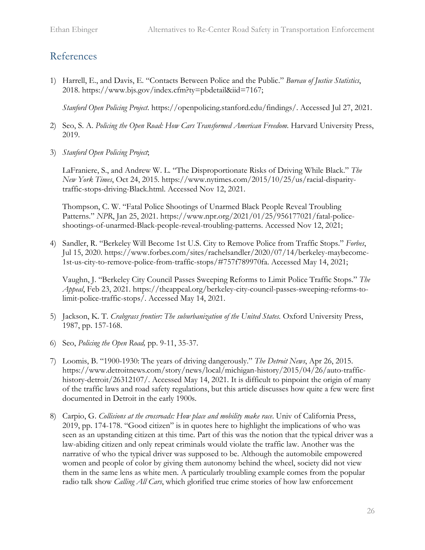# <span id="page-27-0"></span>References

1) Harrell, E., and Davis, E. "Contacts Between Police and the Public." *Bureau of Justice Statistics*, 2018. https://www.bjs.gov/index.cfm?ty=pbdetail&iid=7167;

*Stanford Open Policing Project*. https://openpolicing.stanford.edu/findings/. Accessed Jul 27, 2021.

- 2) Seo, S. A. *Policing the Open Road: How Cars Transformed American Freedom.* Harvard University Press, 2019.
- 3) *Stanford Open Policing Project*;

LaFraniere, S., and Andrew W. L. "The Disproportionate Risks of Driving While Black." *The New York Times*, Oct 24, 2015. https://www.nytimes.com/2015/10/25/us/racial-disparitytraffic-stops-driving-Black.html. Accessed Nov 12, 2021.

Thompson, C. W. "Fatal Police Shootings of Unarmed Black People Reveal Troubling Patterns." *NPR*, Jan 25, 2021. https://www.npr.org/2021/01/25/956177021/fatal-policeshootings-of-unarmed-Black-people-reveal-troubling-patterns. Accessed Nov 12, 2021;

4) Sandler, R. "Berkeley Will Become 1st U.S. City to Remove Police from Traffic Stops." *Forbes*, Jul 15, 2020. https://www.forbes.com/sites/rachelsandler/2020/07/14/berkeley-maybecome-1st-us-city-to-remove-police-from-traffic-stops/#757f789970fa. Accessed May 14, 2021;

Vaughn, J. "Berkeley City Council Passes Sweeping Reforms to Limit Police Traffic Stops." *The Appeal*, Feb 23, 2021. https://theappeal.org/berkeley-city-council-passes-sweeping-reforms-tolimit-police-traffic-stops/. Accessed May 14, 2021.

- 5) Jackson, K. T. *Crabgrass frontier: The suburbanization of the United States.* Oxford University Press, 1987, pp. 157-168.
- 6) Seo, *Policing the Open Road,* pp. 9-11, 35-37.
- 7) Loomis, B. "1900-1930: The years of driving dangerously." *The Detroit News*, Apr 26, 2015. https://www.detroitnews.com/story/news/local/michigan-history/2015/04/26/auto-traffichistory-detroit/26312107/. Accessed May 14, 2021. It is difficult to pinpoint the origin of many of the traffic laws and road safety regulations, but this article discusses how quite a few were first documented in Detroit in the early 1900s.
- 8) Carpio, G. *Collisions at the crossroads: How place and mobility make race*. Univ of California Press, 2019, pp. 174-178. "Good citizen" is in quotes here to highlight the implications of who was seen as an upstanding citizen at this time. Part of this was the notion that the typical driver was a law-abiding citizen and only repeat criminals would violate the traffic law. Another was the narrative of who the typical driver was supposed to be. Although the automobile empowered women and people of color by giving them autonomy behind the wheel, society did not view them in the same lens as white men. A particularly troubling example comes from the popular radio talk show *Calling All Cars*, which glorified true crime stories of how law enforcement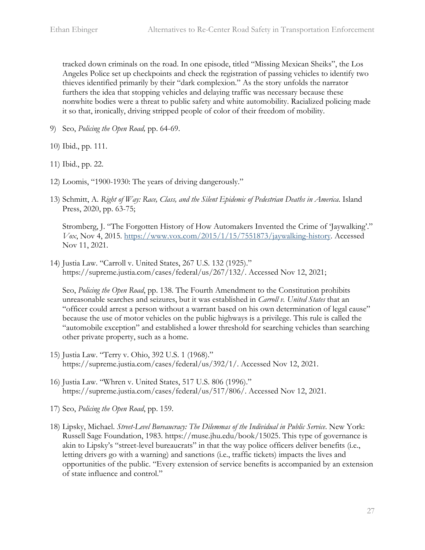tracked down criminals on the road. In one episode, titled "Missing Mexican Sheiks", the Los Angeles Police set up checkpoints and check the registration of passing vehicles to identify two thieves identified primarily by their "dark complexion." As the story unfolds the narrator furthers the idea that stopping vehicles and delaying traffic was necessary because these nonwhite bodies were a threat to public safety and white automobility. Racialized policing made it so that, ironically, driving stripped people of color of their freedom of mobility.

- 9) Seo, *Policing the Open Road,* pp. 64-69.
- 10) Ibid., pp. 111.
- 11) Ibid., pp. 22.
- 12) Loomis, "1900-1930: The years of driving dangerously."
- 13) Schmitt, A. *Right of Way: Race, Class, and the Silent Epidemic of Pedestrian Deaths in America*. Island Press, 2020, pp. 63-75;

Stromberg, J. "The Forgotten History of How Automakers Invented the Crime of 'Jaywalking'." *Vox*, Nov 4, 2015. [https://www.vox.com/2015/1/15/7551873/jaywalking-history.](https://www.vox.com/2015/1/15/7551873/jaywalking-history) Accessed Nov 11, 2021.

14) Justia Law. "Carroll v. United States, 267 U.S. 132 (1925)." https://supreme.justia.com/cases/federal/us/267/132/. Accessed Nov 12, 2021;

Seo, *Policing the Open Road*, pp. 138. The Fourth Amendment to the Constitution prohibits unreasonable searches and seizures, but it was established in *Carroll v. United States* that an "officer could arrest a person without a warrant based on his own determination of legal cause" because the use of motor vehicles on the public highways is a privilege. This rule is called the "automobile exception" and established a lower threshold for searching vehicles than searching other private property, such as a home.

- 15) Justia Law. "Terry v. Ohio, 392 U.S. 1 (1968)." https://supreme.justia.com/cases/federal/us/392/1/. Accessed Nov 12, 2021.
- 16) Justia Law. "Whren v. United States, 517 U.S. 806 (1996)." https://supreme.justia.com/cases/federal/us/517/806/. Accessed Nov 12, 2021.
- 17) Seo, *Policing the Open Road*, pp. 159.
- 18) Lipsky, Michael. *Street-Level Bureaucracy: The Dilemmas of the Individual in Public Service*. New York: Russell Sage Foundation, 1983. https://muse.jhu.edu/book/15025. This type of governance is akin to Lipsky's "street-level bureaucrats" in that the way police officers deliver benefits (i.e., letting drivers go with a warning) and sanctions (i.e., traffic tickets) impacts the lives and opportunities of the public. "Every extension of service benefits is accompanied by an extension of state influence and control."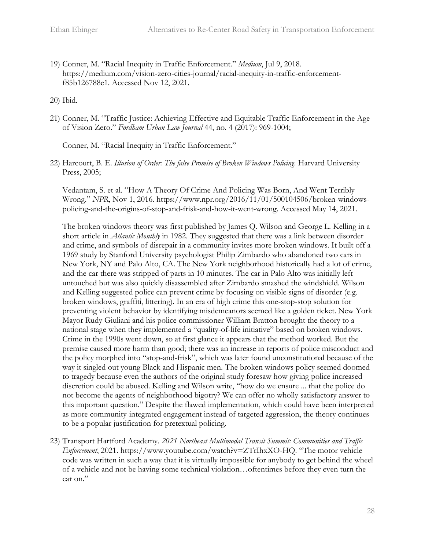19) Conner, M. "Racial Inequity in Traffic Enforcement." *Medium*, Jul 9, 2018. https://medium.com/vision-zero-cities-journal/racial-inequity-in-traffic-enforcementf85b126788e1. Accessed Nov 12, 2021.

20) Ibid.

21) Conner, M. "Traffic Justice: Achieving Effective and Equitable Traffic Enforcement in the Age of Vision Zero." *Fordham Urban Law Journal* 44, no. 4 (2017): 969-1004;

Conner, M. "Racial Inequity in Traffic Enforcement."

22) Harcourt, B. E. *Illusion of Order: The false Promise of Broken Windows Policing*. Harvard University Press, 2005;

Vedantam, S. et al. "How A Theory Of Crime And Policing Was Born, And Went Terribly Wrong." *NPR*, Nov 1, 2016. https://www.npr.org/2016/11/01/500104506/broken-windowspolicing-and-the-origins-of-stop-and-frisk-and-how-it-went-wrong. Accessed May 14, 2021.

The broken windows theory was first published by James Q. Wilson and George L. Kelling in a short article in *Atlantic Monthly* in 1982. They suggested that there was a link between disorder and crime, and symbols of disrepair in a community invites more broken windows. It built off a 1969 study by Stanford University psychologist Philip Zimbardo who abandoned two cars in New York, NY and Palo Alto, CA. The New York neighborhood historically had a lot of crime, and the car there was stripped of parts in 10 minutes. The car in Palo Alto was initially left untouched but was also quickly disassembled after Zimbardo smashed the windshield. Wilson and Kelling suggested police can prevent crime by focusing on visible signs of disorder (e.g. broken windows, graffiti, littering). In an era of high crime this one-stop-stop solution for preventing violent behavior by identifying misdemeanors seemed like a golden ticket. New York Mayor Rudy Giuliani and his police commissioner William Bratton brought the theory to a national stage when they implemented a "quality-of-life initiative" based on broken windows. Crime in the 1990s went down, so at first glance it appears that the method worked. But the premise caused more harm than good; there was an increase in reports of police misconduct and the policy morphed into "stop-and-frisk", which was later found unconstitutional because of the way it singled out young Black and Hispanic men. The broken windows policy seemed doomed to tragedy because even the authors of the original study foresaw how giving police increased discretion could be abused. Kelling and Wilson write, "how do we ensure ... that the police do not become the agents of neighborhood bigotry? We can offer no wholly satisfactory answer to this important question." Despite the flawed implementation, which could have been interpreted as more community-integrated engagement instead of targeted aggression, the theory continues to be a popular justification for pretextual policing.

23) Transport Hartford Academy. *2021 Northeast Multimodal Transit Summit: Communities and Traffic Enforcement*, 2021. https://www.youtube.com/watch?v=ZTrIhxXO-HQ. "The motor vehicle code was written in such a way that it is virtually impossible for anybody to get behind the wheel of a vehicle and not be having some technical violation…oftentimes before they even turn the car on."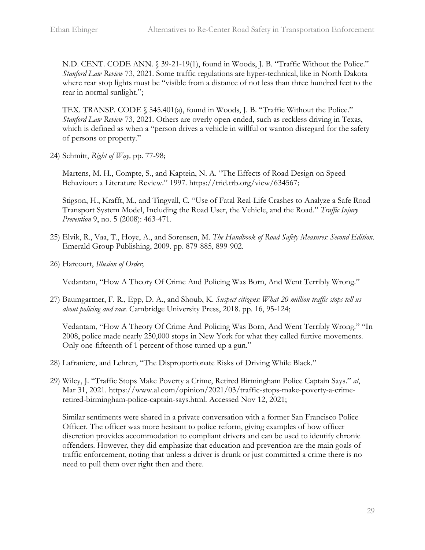N.D. CENT. CODE ANN. § 39-21-19(1), found in Woods, J. B. "Traffic Without the Police." *Stanford Law Review* 73, 2021. Some traffic regulations are hyper-technical, like in North Dakota where rear stop lights must be "visible from a distance of not less than three hundred feet to the rear in normal sunlight.";

TEX. TRANSP. CODE § 545.401(a), found in Woods, J. B. "Traffic Without the Police." *Stanford Law Review* 73, 2021. Others are overly open-ended, such as reckless driving in Texas, which is defined as when a "person drives a vehicle in willful or wanton disregard for the safety of persons or property."

24) Schmitt, *Right of Way,* pp. 77-98;

Martens, M. H., Compte, S., and Kaptein, N. A. "The Effects of Road Design on Speed Behaviour: a Literature Review." 1997. https://trid.trb.org/view/634567;

Stigson, H., Krafft, M., and Tingvall, C. "Use of Fatal Real-Life Crashes to Analyze a Safe Road Transport System Model, Including the Road User, the Vehicle, and the Road." *Traffic Injury Prevention* 9, no. 5 (2008): 463-471.

- 25) Elvik, R., Vaa, T., Hoye, A., and Sorensen, M. *The Handbook of Road Safety Measures: Second Edition*. Emerald Group Publishing, 2009. pp. 879-885, 899-902.
- 26) Harcourt, *Illusion of Order*;

Vedantam, "How A Theory Of Crime And Policing Was Born, And Went Terribly Wrong."

27) Baumgartner, F. R., Epp, D. A., and Shoub, K. *Suspect citizens: What 20 million traffic stops tell us about policing and race.* Cambridge University Press, 2018. pp. 16, 95-124;

Vedantam, "How A Theory Of Crime And Policing Was Born, And Went Terribly Wrong." "In 2008, police made nearly 250,000 stops in New York for what they called furtive movements. Only one-fifteenth of 1 percent of those turned up a gun."

- 28) Lafraniere, and Lehren, "The Disproportionate Risks of Driving While Black."
- 29) Wiley, J. "Traffic Stops Make Poverty a Crime, Retired Birmingham Police Captain Says." *al*, Mar 31, 2021. https://www.al.com/opinion/2021/03/traffic-stops-make-poverty-a-crimeretired-birmingham-police-captain-says.html. Accessed Nov 12, 2021;

Similar sentiments were shared in a private conversation with a former San Francisco Police Officer. The officer was more hesitant to police reform, giving examples of how officer discretion provides accommodation to compliant drivers and can be used to identify chronic offenders. However, they did emphasize that education and prevention are the main goals of traffic enforcement, noting that unless a driver is drunk or just committed a crime there is no need to pull them over right then and there.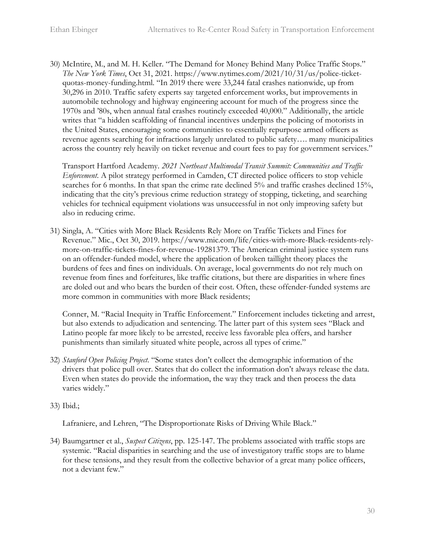30) McIntire, M., and M. H. Keller. "The Demand for Money Behind Many Police Traffic Stops." *The New York Times*, Oct 31, 2021. https://www.nytimes.com/2021/10/31/us/police-ticketquotas-money-funding.html. "In 2019 there were 33,244 fatal crashes nationwide, up from 30,296 in 2010. Traffic safety experts say targeted enforcement works, but improvements in automobile technology and highway engineering account for much of the progress since the 1970s and '80s, when annual fatal crashes routinely exceeded 40,000." Additionally, the article writes that "a hidden scaffolding of financial incentives underpins the policing of motorists in the United States, encouraging some communities to essentially repurpose armed officers as revenue agents searching for infractions largely unrelated to public safety…. many municipalities across the country rely heavily on ticket revenue and court fees to pay for government services."

Transport Hartford Academy. *2021 Northeast Multimodal Transit Summit: Communities and Traffic Enforcement*. A pilot strategy performed in Camden, CT directed police officers to stop vehicle searches for 6 months. In that span the crime rate declined 5% and traffic crashes declined 15%, indicating that the city's previous crime reduction strategy of stopping, ticketing, and searching vehicles for technical equipment violations was unsuccessful in not only improving safety but also in reducing crime.

31) Singla, A. "Cities with More Black Residents Rely More on Traffic Tickets and Fines for Revenue." Mic., Oct 30, 2019. https://www.mic.com/life/cities-with-more-Black-residents-relymore-on-traffic-tickets-fines-for-revenue-19281379. The American criminal justice system runs on an offender-funded model, where the application of broken taillight theory places the burdens of fees and fines on individuals. On average, local governments do not rely much on revenue from fines and forfeitures, like traffic citations, but there are disparities in where fines are doled out and who bears the burden of their cost. Often, these offender-funded systems are more common in communities with more Black residents;

Conner, M. "Racial Inequity in Traffic Enforcement." Enforcement includes ticketing and arrest, but also extends to adjudication and sentencing. The latter part of this system sees "Black and Latino people far more likely to be arrested, receive less favorable plea offers, and harsher punishments than similarly situated white people, across all types of crime."

- 32) *Stanford Open Policing Project*. "Some states don't collect the demographic information of the drivers that police pull over. States that do collect the information don't always release the data. Even when states do provide the information, the way they track and then process the data varies widely."
- 33) Ibid.;

Lafraniere, and Lehren, "The Disproportionate Risks of Driving While Black."

34) Baumgartner et al., *Suspect Citizens*, pp. 125-147. The problems associated with traffic stops are systemic. "Racial disparities in searching and the use of investigatory traffic stops are to blame for these tensions, and they result from the collective behavior of a great many police officers, not a deviant few."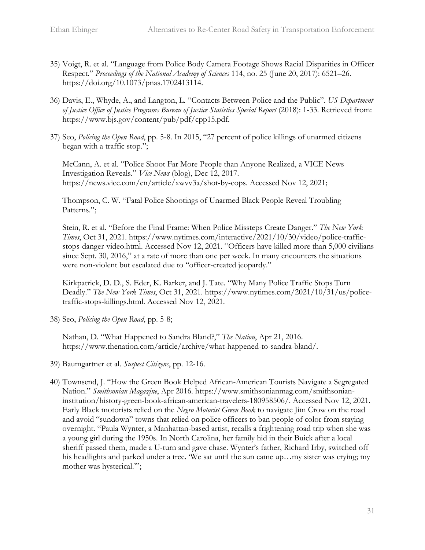- 35) Voigt, R. et al. "Language from Police Body Camera Footage Shows Racial Disparities in Officer Respect." *Proceedings of the National Academy of Sciences* 114, no. 25 (June 20, 2017): 6521–26. [https://doi.org/10.1073/pnas.1702413114.](https://doi.org/10.1073/pnas.1702413114)
- 36) Davis, E., Whyde, A., and Langton, L. "Contacts Between Police and the Public". *US Department of Justice Office of Justice Programs Bureau of Justice Statistics Special Report* (2018): 1-33. Retrieved from: https://www.bjs.gov/content/pub/pdf/cpp15.pdf.
- 37) Seo, *Policing the Open Road*, pp. 5-8. In 2015, "27 percent of police killings of unarmed citizens began with a traffic stop.";

McCann, A. et al. "Police Shoot Far More People than Anyone Realized, a VICE News Investigation Reveals." *Vice News* (blog), Dec 12, 2017. https://news.vice.com/en/article/xwvv3a/shot-by-cops. Accessed Nov 12, 2021;

Thompson, C. W. "Fatal Police Shootings of Unarmed Black People Reveal Troubling Patterns.";

Stein, R. et al. "Before the Final Frame: When Police Missteps Create Danger." *The New York Times*, Oct 31, 2021. https://www.nytimes.com/interactive/2021/10/30/video/police-trafficstops-danger-video.html. Accessed Nov 12, 2021. "Officers have killed more than 5,000 civilians since Sept. 30, 2016," at a rate of more than one per week. In many encounters the situations were non-violent but escalated due to "officer-created jeopardy."

Kirkpatrick, D. D., S. Eder, K. Barker, and J. Tate. "Why Many Police Traffic Stops Turn Deadly." *The New York Times*, Oct 31, 2021. https://www.nytimes.com/2021/10/31/us/policetraffic-stops-killings.html. Accessed Nov 12, 2021.

38) Seo, *Policing the Open Road*, pp. 5-8;

Nathan, D. "What Happened to Sandra Bland?," *The Nation*, Apr 21, 2016. https://www.thenation.com/article/archive/what-happened-to-sandra-bland/.

- 39) Baumgartner et al. *Suspect Citizens*, pp. 12-16.
- 40) Townsend, J. "How the Green Book Helped African-American Tourists Navigate a Segregated Nation." *Smithsonian Magazine*, Apr 2016. https://www.smithsonianmag.com/smithsonianinstitution/history-green-book-african-american-travelers-180958506/. Accessed Nov 12, 2021. Early Black motorists relied on the *Negro Motorist Green Book* to navigate Jim Crow on the road and avoid "sundown" towns that relied on police officers to ban people of color from staying overnight. "Paula Wynter, a Manhattan-based artist, recalls a frightening road trip when she was a young girl during the 1950s. In North Carolina, her family hid in their Buick after a local sheriff passed them, made a U-turn and gave chase. Wynter's father, Richard Irby, switched off his headlights and parked under a tree. We sat until the sun came up... my sister was crying; my mother was hysterical.'";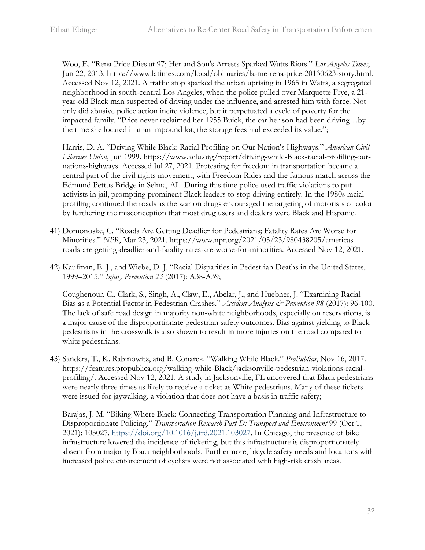Woo, E. "Rena Price Dies at 97; Her and Son's Arrests Sparked Watts Riots." *Los Angeles Times*, Jun 22, 2013. https://www.latimes.com/local/obituaries/la-me-rena-price-20130623-story.html. Accessed Nov 12, 2021. A traffic stop sparked the urban uprising in 1965 in Watts, a segregated neighborhood in south-central Los Angeles, when the police pulled over Marquette Frye, a 21 year-old Black man suspected of driving under the influence, and arrested him with force. Not only did abusive police action incite violence, but it perpetuated a cycle of poverty for the impacted family. "Price never reclaimed her 1955 Buick, the car her son had been driving…by the time she located it at an impound lot, the storage fees had exceeded its value.";

Harris, D. A. "Driving While Black: Racial Profiling on Our Nation's Highways." *American Civil Liberties Union*, Jun 1999. https://www.aclu.org/report/driving-while-Black-racial-profiling-ournations-highways. Accessed Jul 27, 2021. Protesting for freedom in transportation became a central part of the civil rights movement, with Freedom Rides and the famous march across the Edmund Pettus Bridge in Selma, AL. During this time police used traffic violations to put activists in jail, prompting prominent Black leaders to stop driving entirely. In the 1980s racial profiling continued the roads as the war on drugs encouraged the targeting of motorists of color by furthering the misconception that most drug users and dealers were Black and Hispanic.

- 41) Domonoske, C. "Roads Are Getting Deadlier for Pedestrians; Fatality Rates Are Worse for Minorities." *NPR*, Mar 23, 2021. https://www.npr.org/2021/03/23/980438205/americasroads-are-getting-deadlier-and-fatality-rates-are-worse-for-minorities. Accessed Nov 12, 2021.
- 42) Kaufman, E. J., and Wiebe, D. J. "Racial Disparities in Pedestrian Deaths in the United States, 1999–2015." *Injury Prevention 23* (2017): A38-A39;

Coughenour, C., Clark, S., Singh, A., Claw, E., Abelar, J., and Huebner, J. "Examining Racial Bias as a Potential Factor in Pedestrian Crashes." *Accident Analysis & Prevention 98* (2017): 96-100. The lack of safe road design in majority non-white neighborhoods, especially on reservations, is a major cause of the disproportionate pedestrian safety outcomes. Bias against yielding to Black pedestrians in the crosswalk is also shown to result in more injuries on the road compared to white pedestrians.

43) Sanders, T., K. Rabinowitz, and B. Conarck. "Walking While Black." *ProPublica*, Nov 16, 2017. https://features.propublica.org/walking-while-Black/jacksonville-pedestrian-violations-racialprofiling/. Accessed Nov 12, 2021. A study in Jacksonville, FL uncovered that Black pedestrians were nearly three times as likely to receive a ticket as White pedestrians. Many of these tickets were issued for jaywalking, a violation that does not have a basis in traffic safety;

Barajas, J. M. "Biking Where Black: Connecting Transportation Planning and Infrastructure to Disproportionate Policing." *Transportation Research Part D: Transport and Environment* 99 (Oct 1, 2021): 103027. [https://doi.org/10.1016/j.trd.2021.103027.](https://doi.org/10.1016/j.trd.2021.103027) In Chicago, the presence of bike infrastructure lowered the incidence of ticketing, but this infrastructure is disproportionately absent from majority Black neighborhoods. Furthermore, bicycle safety needs and locations with increased police enforcement of cyclists were not associated with high-risk crash areas.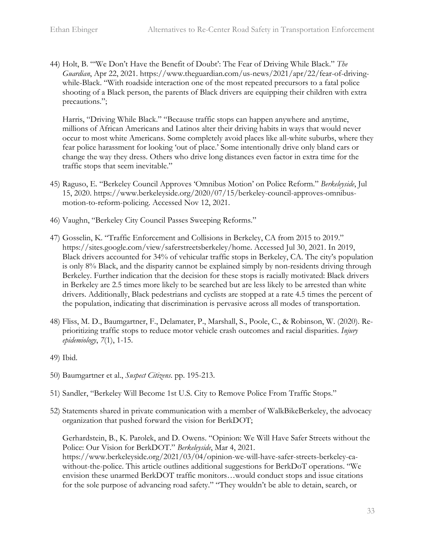44) Holt, B. "'We Don't Have the Benefit of Doubt': The Fear of Driving While Black." *The Guardian*, Apr 22, 2021. https://www.theguardian.com/us-news/2021/apr/22/fear-of-drivingwhile-Black. "With roadside interaction one of the most repeated precursors to a fatal police shooting of a Black person, the parents of Black drivers are equipping their children with extra precautions.";

Harris, "Driving While Black." "Because traffic stops can happen anywhere and anytime, millions of African Americans and Latinos alter their driving habits in ways that would never occur to most white Americans. Some completely avoid places like all-white suburbs, where they fear police harassment for looking 'out of place.' Some intentionally drive only bland cars or change the way they dress. Others who drive long distances even factor in extra time for the traffic stops that seem inevitable."

- 45) Raguso, E. "Berkeley Council Approves 'Omnibus Motion' on Police Reform." *Berkeleyside*, Jul 15, 2020. https://www.berkeleyside.org/2020/07/15/berkeley-council-approves-omnibusmotion-to-reform-policing. Accessed Nov 12, 2021.
- 46) Vaughn, "Berkeley City Council Passes Sweeping Reforms."
- 47) Gosselin, K. "Traffic Enforcement and Collisions in Berkeley, CA from 2015 to 2019." https://sites.google.com/view/saferstreetsberkeley/home. Accessed Jul 30, 2021. In 2019, Black drivers accounted for 34% of vehicular traffic stops in Berkeley, CA. The city's population is only 8% Black, and the disparity cannot be explained simply by non-residents driving through Berkeley. Further indication that the decision for these stops is racially motivated: Black drivers in Berkeley are 2.5 times more likely to be searched but are less likely to be arrested than white drivers. Additionally, Black pedestrians and cyclists are stopped at a rate 4.5 times the percent of the population, indicating that discrimination is pervasive across all modes of transportation.
- 48) Fliss, M. D., Baumgartner, F., Delamater, P., Marshall, S., Poole, C., & Robinson, W. (2020). Reprioritizing traffic stops to reduce motor vehicle crash outcomes and racial disparities. *Injury epidemiology*, *7*(1), 1-15.
- 49) Ibid.
- 50) Baumgartner et al., *Suspect Citizens*. pp. 195-213.
- 51) Sandler, "Berkeley Will Become 1st U.S. City to Remove Police From Traffic Stops."
- 52) Statements shared in private communication with a member of WalkBikeBerkeley, the advocacy organization that pushed forward the vision for BerkDOT;

Gerhardstein, B., K. Parolek, and D. Owens. "Opinion: We Will Have Safer Streets without the Police: Our Vision for BerkDOT." *Berkeleyside*, Mar 4, 2021. https://www.berkeleyside.org/2021/03/04/opinion-we-will-have-safer-streets-berkeley-cawithout-the-police. This article outlines additional suggestions for BerkDoT operations. "We envision these unarmed BerkDOT traffic monitors…would conduct stops and issue citations for the sole purpose of advancing road safety." "They wouldn't be able to detain, search, or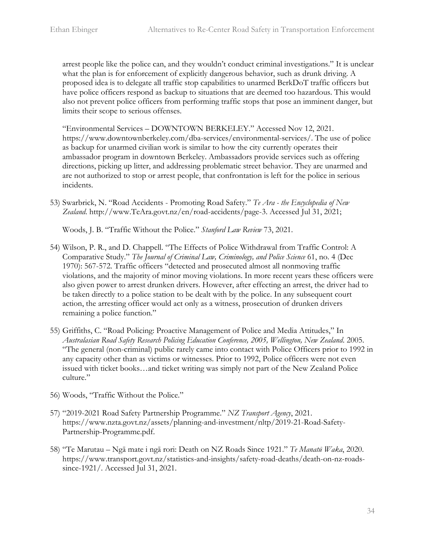arrest people like the police can, and they wouldn't conduct criminal investigations." It is unclear what the plan is for enforcement of explicitly dangerous behavior, such as drunk driving. A proposed idea is to delegate all traffic stop capabilities to unarmed BerkDoT traffic officers but have police officers respond as backup to situations that are deemed too hazardous. This would also not prevent police officers from performing traffic stops that pose an imminent danger, but limits their scope to serious offenses.

"Environmental Services – DOWNTOWN BERKELEY." Accessed Nov 12, 2021. https://www.downtownberkeley.com/dba-services/environmental-services/. The use of police as backup for unarmed civilian work is similar to how the city currently operates their ambassador program in downtown Berkeley. Ambassadors provide services such as offering directions, picking up litter, and addressing problematic street behavior. They are unarmed and are not authorized to stop or arrest people, that confrontation is left for the police in serious incidents.

53) Swarbrick, N. "Road Accidents - Promoting Road Safety." *Te Ara - the Encyclopedia of New Zealand*. http://www.TeAra.govt.nz/en/road-accidents/page-3. Accessed Jul 31, 2021;

Woods, J. B. "Traffic Without the Police." *Stanford Law Review* 73, 2021.

- 54) Wilson, P. R., and D. Chappell. "The Effects of Police Withdrawal from Traffic Control: A Comparative Study." *The Journal of Criminal Law, Criminology, and Police Science* 61, no. 4 (Dec 1970): 567-572. Traffic officers "detected and prosecuted almost all nonmoving traffic violations, and the majority of minor moving violations. In more recent years these officers were also given power to arrest drunken drivers. However, after effecting an arrest, the driver had to be taken directly to a police station to be dealt with by the police. In any subsequent court action, the arresting officer would act only as a witness, prosecution of drunken drivers remaining a police function."
- 55) Griffiths, C. "Road Policing: Proactive Management of Police and Media Attitudes," In *Australasian Road Safety Research Policing Education Conference, 2005, Wellington, New Zealand*. 2005. "The general (non-criminal) public rarely came into contact with Police Officers prior to 1992 in any capacity other than as victims or witnesses. Prior to 1992, Police officers were not even issued with ticket books…and ticket writing was simply not part of the New Zealand Police culture."
- 56) Woods, "Traffic Without the Police."
- 57) "2019-2021 Road Safety Partnership Programme." *NZ Transport Agency*, 2021. https://www.nzta.govt.nz/assets/planning-and-investment/nltp/2019-21-Road-Safety-Partnership-Programme.pdf.
- 58) "Te Marutau Ngā mate i ngā rori: Death on NZ Roads Since 1921." *Te Manatū Waka*, 2020. https://www.transport.govt.nz/statistics-and-insights/safety-road-deaths/death-on-nz-roadssince-1921/. Accessed Jul 31, 2021.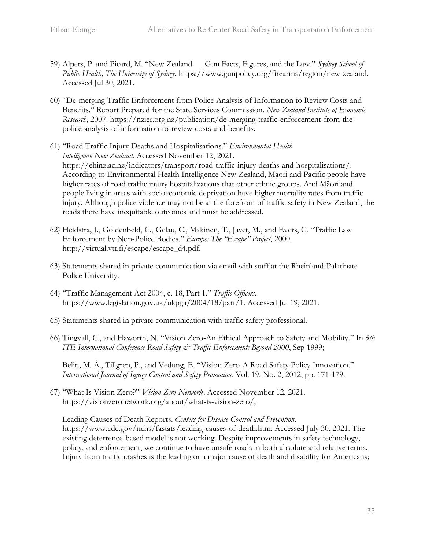- 59) Alpers, P. and Picard, M. "New Zealand Gun Facts, Figures, and the Law." *Sydney School of Public Health, The University of Sydney*. https://www.gunpolicy.org/firearms/region/new-zealand. Accessed Jul 30, 2021.
- 60) "De-merging Traffic Enforcement from Police Analysis of Information to Review Costs and Benefits." Report Prepared for the State Services Commission. *New Zealand Institute of Economic Research*, 2007. https://nzier.org.nz/publication/de-merging-traffic-enforcement-from-thepolice-analysis-of-information-to-review-costs-and-benefits.
- 61) "Road Traffic Injury Deaths and Hospitalisations." *Environmental Health Intelligence New Zealand.* Accessed November 12, 2021. https://ehinz.ac.nz/indicators/transport/road-traffic-injury-deaths-and-hospitalisations/. According to Environmental Health Intelligence New Zealand, Māori and Pacific people have higher rates of road traffic injury hospitalizations that other ethnic groups. And Māori and people living in areas with socioeconomic deprivation have higher mortality rates from traffic injury. Although police violence may not be at the forefront of traffic safety in New Zealand, the roads there have inequitable outcomes and must be addressed.
- 62) Heidstra, J., Goldenbeld, C., Gelau, C., Makinen, T., Jayet, M., and Evers, C. "Traffic Law Enforcement by Non-Police Bodies." *Europe: The "Escape" Project*, 2000. http://virtual.vtt.fi/escape/escape\_d4.pdf.
- 63) Statements shared in private communication via email with staff at the Rheinland-Palatinate Police University.
- 64) "Traffic Management Act 2004, c. 18, Part 1." *Traffic Officers*. https://www.legislation.gov.uk/ukpga/2004/18/part/1. Accessed Jul 19, 2021.
- 65) Statements shared in private communication with traffic safety professional.
- 66) Tingvall, C., and Haworth, N. "Vision Zero-An Ethical Approach to Safety and Mobility." In *6th ITE International Conference Road Safety & Traffic Enforcement: Beyond 2000*, Sep 1999;

Belin, M. Å., Tillgren, P., and Vedung, E. "Vision Zero-A Road Safety Policy Innovation." *International Journal of Injury Control and Safety Promotion*, Vol. 19, No. 2, 2012, pp. 171-179.

67) "What Is Vision Zero?" *Vision Zero Network*. Accessed November 12, 2021. https://visionzeronetwork.org/about/what-is-vision-zero/;

Leading Causes of Death Reports. *Centers for Disease Control and Prevention*. https://www.cdc.gov/nchs/fastats/leading-causes-of-death.htm. Accessed July 30, 2021. The existing deterrence-based model is not working. Despite improvements in safety technology, policy, and enforcement, we continue to have unsafe roads in both absolute and relative terms. Injury from traffic crashes is the leading or a major cause of death and disability for Americans;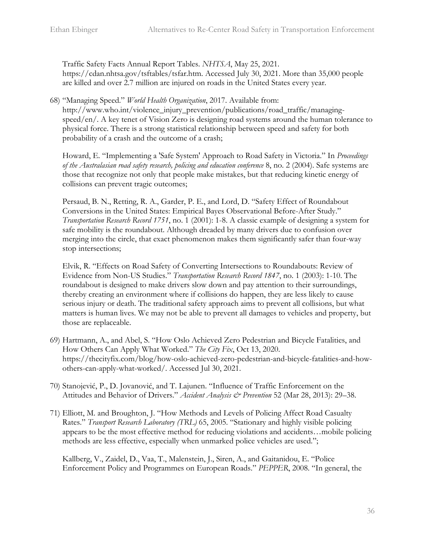Traffic Safety Facts Annual Report Tables. *NHTSA*, May 25, 2021. https://cdan.nhtsa.gov/tsftables/tsfar.htm. Accessed July 30, 2021. More than 35,000 people are killed and over 2.7 million are injured on roads in the United States every year.

68) "Managing Speed." *World Health Organization*, 2017. Available from:

http://www.who.int/violence\_injury\_prevention/publications/road\_traffic/managingspeed/en/. A key tenet of Vision Zero is designing road systems around the human tolerance to physical force. There is a strong statistical relationship between speed and safety for both probability of a crash and the outcome of a crash;

Howard, E. "Implementing a 'Safe System' Approach to Road Safety in Victoria." In *Proceedings of the Australasian road safety research, policing and education conference* 8, no. 2 (2004). Safe systems are those that recognize not only that people make mistakes, but that reducing kinetic energy of collisions can prevent tragic outcomes;

Persaud, B. N., Retting, R. A., Garder, P. E., and Lord, D. "Safety Effect of Roundabout Conversions in the United States: Empirical Bayes Observational Before-After Study." *Transportation Research Record 1751*, no. 1 (2001): 1-8. A classic example of designing a system for safe mobility is the roundabout. Although dreaded by many drivers due to confusion over merging into the circle, that exact phenomenon makes them significantly safer than four-way stop intersections;

Elvik, R. "Effects on Road Safety of Converting Intersections to Roundabouts: Review of Evidence from Non-US Studies." *Transportation Research Record 1847*, no. 1 (2003): 1-10. The roundabout is designed to make drivers slow down and pay attention to their surroundings, thereby creating an environment where if collisions do happen, they are less likely to cause serious injury or death. The traditional safety approach aims to prevent all collisions, but what matters is human lives. We may not be able to prevent all damages to vehicles and property, but those are replaceable.

- 69) Hartmann, A., and Abel, S. "How Oslo Achieved Zero Pedestrian and Bicycle Fatalities, and How Others Can Apply What Worked." *The City Fix*, Oct 13, 2020. https://thecityfix.com/blog/how-oslo-achieved-zero-pedestrian-and-bicycle-fatalities-and-howothers-can-apply-what-worked/. Accessed Jul 30, 2021.
- 70) Stanojević, P., D. Jovanović, and T. Lajunen. "Influence of Traffic Enforcement on the Attitudes and Behavior of Drivers." *Accident Analysis & Prevention* 52 (Mar 28, 2013): 29–38.
- 71) Elliott, M. and Broughton, J. "How Methods and Levels of Policing Affect Road Casualty Rates." *Transport Research Laboratory (TRL)* 65, 2005. "Stationary and highly visible policing appears to be the most effective method for reducing violations and accidents…mobile policing methods are less effective, especially when unmarked police vehicles are used.";

Kallberg, V., Zaidel, D., Vaa, T., Malenstein, J., Siren, A., and Gaitanidou, E. "Police Enforcement Policy and Programmes on European Roads." *PEPPER*, 2008. "In general, the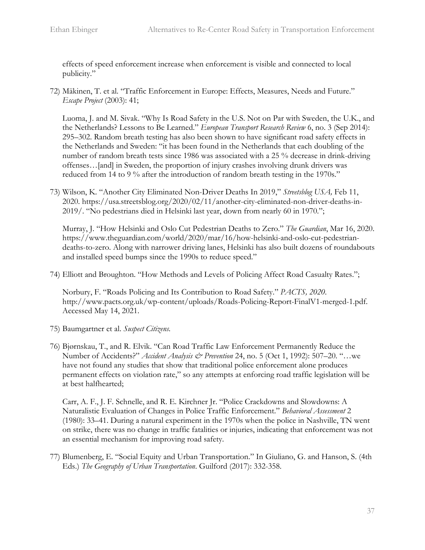effects of speed enforcement increase when enforcement is visible and connected to local publicity."

72) Mäkinen, T. et al. "Traffic Enforcement in Europe: Effects, Measures, Needs and Future." *Escape Project* (2003): 41;

Luoma, J. and M. Sivak. "Why Is Road Safety in the U.S. Not on Par with Sweden, the U.K., and the Netherlands? Lessons to Be Learned." *European Transport Research Review* 6, no. 3 (Sep 2014): 295–302. Random breath testing has also been shown to have significant road safety effects in the Netherlands and Sweden: "it has been found in the Netherlands that each doubling of the number of random breath tests since 1986 was associated with a 25 % decrease in drink-driving offenses…[and] in Sweden, the proportion of injury crashes involving drunk drivers was reduced from 14 to 9 % after the introduction of random breath testing in the 1970s."

73) Wilson, K. "Another City Eliminated Non-Driver Deaths In 2019," *Streetsblog USA,* Feb 11, 2020. https://usa.streetsblog.org/2020/02/11/another-city-eliminated-non-driver-deaths-in-2019/. "No pedestrians died in Helsinki last year, down from nearly 60 in 1970.";

Murray, J. "How Helsinki and Oslo Cut Pedestrian Deaths to Zero." *The Guardian*, Mar 16, 2020. https://www.theguardian.com/world/2020/mar/16/how-helsinki-and-oslo-cut-pedestriandeaths-to-zero. Along with narrower driving lanes, Helsinki has also built dozens of roundabouts and installed speed bumps since the 1990s to reduce speed."

74) Elliott and Broughton. "How Methods and Levels of Policing Affect Road Casualty Rates.";

Norbury, F. "Roads Policing and Its Contribution to Road Safety." *PACTS, 2020*. http://www.pacts.org.uk/wp-content/uploads/Roads-Policing-Report-FinalV1-merged-1.pdf. Accessed May 14, 2021.

- 75) Baumgartner et al. *Suspect Citizens.*
- 76) Bjørnskau, T., and R. Elvik. "Can Road Traffic Law Enforcement Permanently Reduce the Number of Accidents?" *Accident Analysis & Prevention* 24, no. 5 (Oct 1, 1992): 507–20. "…we have not found any studies that show that traditional police enforcement alone produces permanent effects on violation rate," so any attempts at enforcing road traffic legislation will be at best halfhearted;

Carr, A. F., J. F. Schnelle, and R. E. Kirchner Jr. "Police Crackdowns and Slowdowns: A Naturalistic Evaluation of Changes in Police Traffic Enforcement." *Behavioral Assessment* 2 (1980): 33–41. During a natural experiment in the 1970s when the police in Nashville, TN went on strike, there was no change in traffic fatalities or injuries, indicating that enforcement was not an essential mechanism for improving road safety.

77) Blumenberg, E. "Social Equity and Urban Transportation." In Giuliano, G. and Hanson, S. (4th Eds.) *The Geography of Urban Transportation*. Guilford (2017): 332-358.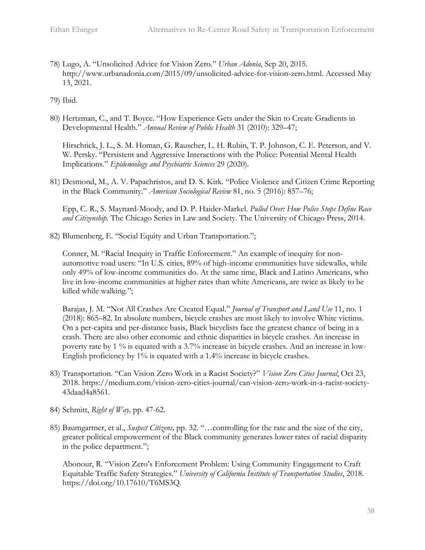78) Lugo, A. "Unsolicited Advice for Vision Zero." *Urban Adonia*, Sep 20, 2015. http://www.urbanadonia.com/2015/09/unsolicited-advice-for-vision-zero.html. Accessed May 13, 2021.

79) Ibid.

80) Hertzman, C., and T. Boyce. "How Experience Gets under the Skin to Create Gradients in Developmental Health." *Annual Review of Public Health* 31 (2010): 329–47;

Hirschtick, J. L., S. M. Homan, G. Rauscher, L. H. Rubin, T. P. Johnson, C. E. Peterson, and V. W. Persky. "Persistent and Aggressive Interactions with the Police: Potential Mental Health Implications." *Epidemiology and Psychiatric Sciences* 29 (2020).

81) Desmond, M., A. V. Papachristos, and D. S. Kirk. "Police Violence and Citizen Crime Reporting in the Black Community." *American Sociological Review* 81, no. 5 (2016): 857–76;

Epp, C. R., S. Maynard-Moody, and D. P. Haider-Markel. *Pulled Over: How Police Stops Define Race and Citizenship*. The Chicago Series in Law and Society. The University of Chicago Press, 2014.

82) Blumenberg, E. "Social Equity and Urban Transportation.";

Conner, M. "Racial Inequity in Traffic Enforcement." An example of inequity for nonautomotive road users: "In U.S. cities, 89% of high-income communities have sidewalks, while only 49% of low-income communities do. At the same time, Black and Latino Americans, who live in low-income communities at higher rates than white Americans, are twice as likely to be killed while walking.";

Barajas, J. M. "Not All Crashes Are Created Equal." *Journal of Transport and Land Use* 11, no. 1 (2018): 865–82. In absolute numbers, bicycle crashes are most likely to involve White victims. On a per-capita and per-distance basis, Black bicyclists face the greatest chance of being in a crash. There are also other economic and ethnic disparities in bicycle crashes. An increase in poverty rate by 1 % is equated with a 3.7% increase in bicycle crashes. And an increase in low-English proficiency by 1% is equated with a 1.4% increase in bicycle crashes.

- 83) Transportation. "Can Vision Zero Work in a Racist Society?" *Vision Zero Cities Journal*, Oct 23, 2018. https://medium.com/vision-zero-cities-journal/can-vision-zero-work-in-a-racist-society-43daad4a8561.
- 84) Schmitt, *Right of Way,* pp. 47-62.
- 85) Baumgartner, et al., *Suspect Citizens,* pp. 32. "…controlling for the rate and the size of the city, greater political empowerment of the Black community generates lower rates of racial disparity in the police department.";

Abonour, R. "Vision Zero's Enforcement Problem: Using Community Engagement to Craft Equitable Traffic Safety Strategies." *University of California Institute of Transportation Studies*, 2018. https://doi.org/10.17610/T6MS3Q.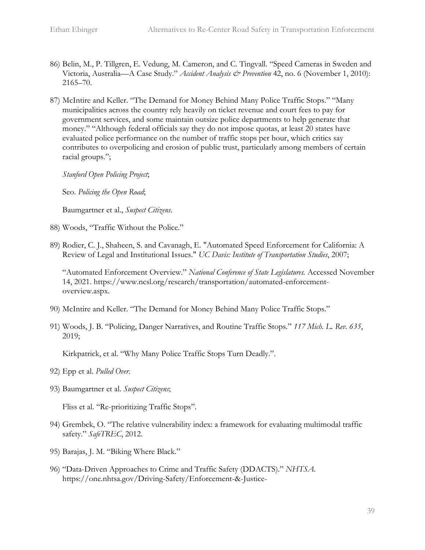- 86) Belin, M., P. Tillgren, E. Vedung, M. Cameron, and C. Tingvall. "Speed Cameras in Sweden and Victoria, Australia—A Case Study." *Accident Analysis & Prevention* 42, no. 6 (November 1, 2010): 2165–70.
- 87) McIntire and Keller. "The Demand for Money Behind Many Police Traffic Stops." "Many municipalities across the country rely heavily on ticket revenue and court fees to pay for government services, and some maintain outsize police departments to help generate that money." "Although federal officials say they do not impose quotas, at least 20 states have evaluated police performance on the number of traffic stops per hour, which critics say contributes to overpolicing and erosion of public trust, particularly among members of certain racial groups.";

*Stanford Open Policing Project*;

Seo. *Policing the Open Road*;

Baumgartner et al., *Suspect Citizens*.

- 88) Woods, "Traffic Without the Police."
- 89) Rodier, C. J., Shaheen, S. and Cavanagh, E. "Automated Speed Enforcement for California: A Review of Legal and Institutional Issues." *UC Davis: Institute of Transportation Studies*, 2007;

"Automated Enforcement Overview." *National Conference of State Legislatures.* Accessed November 14, 2021. https://www.ncsl.org/research/transportation/automated-enforcementoverview.aspx.

- 90) McIntire and Keller. "The Demand for Money Behind Many Police Traffic Stops."
- 91) Woods, J. B. "Policing, Danger Narratives, and Routine Traffic Stops." *117 Mich. L. Rev. 635*, 2019;

Kirkpatrick, et al. "Why Many Police Traffic Stops Turn Deadly.".

- 92) Epp et al. *Pulled Over*.
- 93) Baumgartner et al. *Suspect Citizens*;

Fliss et al. "Re-prioritizing Traffic Stops".

- 94) Grembek, O. "The relative vulnerability index: a framework for evaluating multimodal traffic safety." *SafeTREC*, 2012.
- 95) Barajas, J. M. "Biking Where Black."
- 96) "Data-Driven Approaches to Crime and Traffic Safety (DDACTS)." *NHTSA*. https://one.nhtsa.gov/Driving-Safety/Enforcement-&-Justice-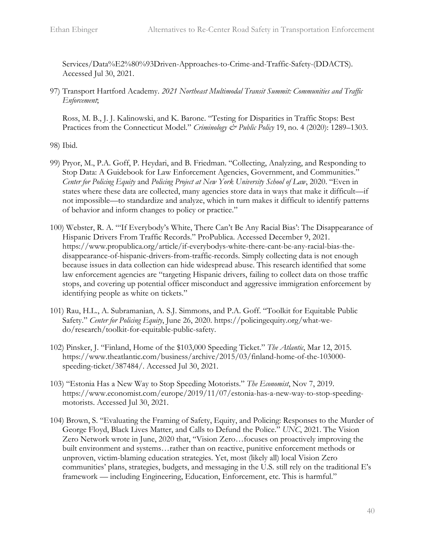Services/Data%E2%80%93Driven-Approaches-to-Crime-and-Traffic-Safety-(DDACTS). Accessed Jul 30, 2021.

97) Transport Hartford Academy. *2021 Northeast Multimodal Transit Summit: Communities and Traffic Enforcement*;

Ross, M. B., J. J. Kalinowski, and K. Barone. "Testing for Disparities in Traffic Stops: Best Practices from the Connecticut Model." *Criminology & Public Policy* 19, no. 4 (2020): 1289–1303.

98) Ibid.

- 99) Pryor, M., P.A. Goff, P. Heydari, and B. Friedman. "Collecting, Analyzing, and Responding to Stop Data: A Guidebook for Law Enforcement Agencies, Government, and Communities." *Center for Policing Equity* and *Policing Project at New York University School of Law*, 2020. "Even in states where these data are collected, many agencies store data in ways that make it difficult—if not impossible—to standardize and analyze, which in turn makes it difficult to identify patterns of behavior and inform changes to policy or practice."
- 100) Webster, R. A. "'If Everybody's White, There Can't Be Any Racial Bias': The Disappearance of Hispanic Drivers From Traffic Records." ProPublica. Accessed December 9, 2021. https://www.propublica.org/article/if-everybodys-white-there-cant-be-any-racial-bias-thedisappearance-of-hispanic-drivers-from-traffic-records. Simply collecting data is not enough because issues in data collection can hide widespread abuse. This research identified that some law enforcement agencies are "targeting Hispanic drivers, failing to collect data on those traffic stops, and covering up potential officer misconduct and aggressive immigration enforcement by identifying people as white on tickets."
- 101) Rau, H.L., A. Subramanian, A. S.J. Simmons, and P.A. Goff. "Toolkit for Equitable Public Safety." *Center for Policing Equity*, June 26, 2020. https://policingequity.org/what-wedo/research/toolkit-for-equitable-public-safety.
- 102) Pinsker, J. "Finland, Home of the \$103,000 Speeding Ticket." *The Atlantic*, Mar 12, 2015. https://www.theatlantic.com/business/archive/2015/03/finland-home-of-the-103000 speeding-ticket/387484/. Accessed Jul 30, 2021.
- 103) "Estonia Has a New Way to Stop Speeding Motorists." *The Economist*, Nov 7, 2019. https://www.economist.com/europe/2019/11/07/estonia-has-a-new-way-to-stop-speedingmotorists. Accessed Jul 30, 2021.
- 104) Brown, S. "Evaluating the Framing of Safety, Equity, and Policing: Responses to the Murder of George Floyd, Black Lives Matter, and Calls to Defund the Police." *UNC*, 2021. The Vision Zero Network wrote in June, 2020 that, "Vision Zero…focuses on proactively improving the built environment and systems…rather than on reactive, punitive enforcement methods or unproven, victim-blaming education strategies. Yet, most (likely all) local Vision Zero communities' plans, strategies, budgets, and messaging in the U.S. still rely on the traditional E's framework — including Engineering, Education, Enforcement, etc. This is harmful."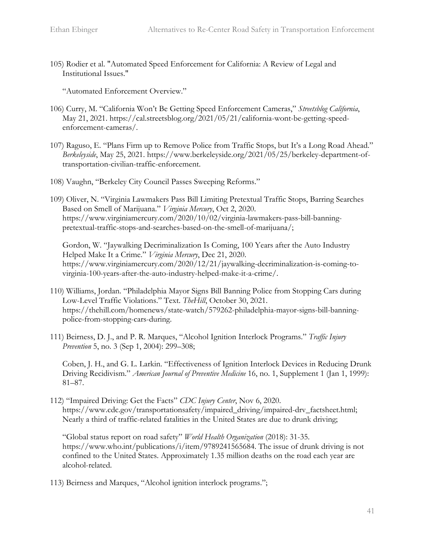105) Rodier et al. "Automated Speed Enforcement for California: A Review of Legal and Institutional Issues."

"Automated Enforcement Overview."

- 106) Curry, M. "California Won't Be Getting Speed Enforcement Cameras," *Streetsblog California*, May 21, 2021. https://cal.streetsblog.org/2021/05/21/california-wont-be-getting-speedenforcement-cameras/.
- 107) Raguso, E. "Plans Firm up to Remove Police from Traffic Stops, but It's a Long Road Ahead." *Berkeleyside*, May 25, 2021. https://www.berkeleyside.org/2021/05/25/berkeley-department-oftransportation-civilian-traffic-enforcement.
- 108) Vaughn, "Berkeley City Council Passes Sweeping Reforms."
- 109) Oliver, N. "Virginia Lawmakers Pass Bill Limiting Pretextual Traffic Stops, Barring Searches Based on Smell of Marijuana." *Virginia Mercury*, Oct 2, 2020. https://www.virginiamercury.com/2020/10/02/virginia-lawmakers-pass-bill-banningpretextual-traffic-stops-and-searches-based-on-the-smell-of-marijuana/;

Gordon, W. "Jaywalking Decriminalization Is Coming, 100 Years after the Auto Industry Helped Make It a Crime." *Virginia Mercury*, Dec 21, 2020. https://www.virginiamercury.com/2020/12/21/jaywalking-decriminalization-is-coming-tovirginia-100-years-after-the-auto-industry-helped-make-it-a-crime/.

- 110) Williams, Jordan. "Philadelphia Mayor Signs Bill Banning Police from Stopping Cars during Low-Level Traffic Violations." Text. *TheHill*, October 30, 2021. https://thehill.com/homenews/state-watch/579262-philadelphia-mayor-signs-bill-banningpolice-from-stopping-cars-during.
- 111) Beirness, D. J., and P. R. Marques, "Alcohol Ignition Interlock Programs." *Traffic Injury Prevention* 5, no. 3 (Sep 1, 2004): 299–308;

Coben, J. H., and G. L. Larkin. "Effectiveness of Ignition Interlock Devices in Reducing Drunk Driving Recidivism." *American Journal of Preventive Medicine* 16, no. 1, Supplement 1 (Jan 1, 1999): 81–87.

112) "Impaired Driving: Get the Facts" *CDC Injury Center*, Nov 6, 2020. https://www.cdc.gov/transportationsafety/impaired\_driving/impaired-drv\_factsheet.html; Nearly a third of traffic-related fatalities in the United States are due to drunk driving;

"Global status report on road safety" *World Health Organization* (2018): 31-35. https://www.who.int/publications/i/item/9789241565684. The issue of drunk driving is not confined to the United States. Approximately 1.35 million deaths on the road each year are alcohol-related.

113) Beirness and Marques, "Alcohol ignition interlock programs.";